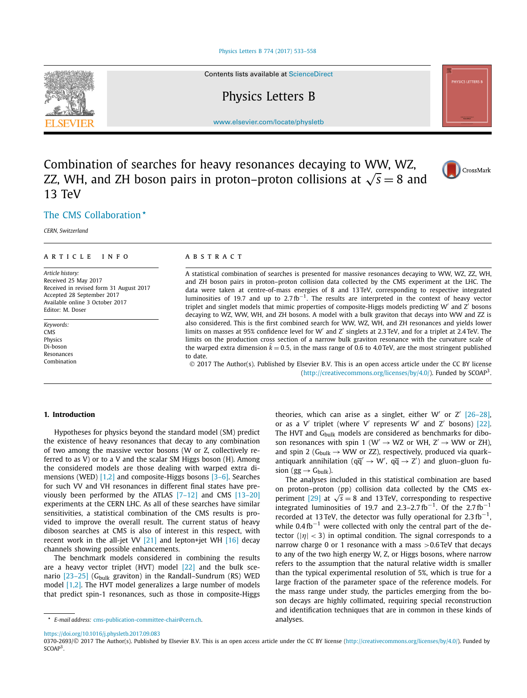#### [Physics Letters B 774 \(2017\) 533–558](https://doi.org/10.1016/j.physletb.2017.09.083)

Contents lists available at [ScienceDirect](http://www.ScienceDirect.com/)

Physics Letters B

[www.elsevier.com/locate/physletb](http://www.elsevier.com/locate/physletb)

## Combination of searches for heavy resonances decaying to WW, WZ, ZZ, WH, and ZH boson pairs in proton–proton collisions at  $\sqrt{s} = 8$  and 13 TeV



## .The CMS [Collaboration](#page-9-0) *-*

*CERN, Switzerland*

#### A R T I C L E I N F O A B S T R A C T

*Article history:* Received 25 May 2017 Received in revised form 31 August 2017 Accepted 28 September 2017 Available online 3 October 2017 Editor: M. Doser

*Keywords:* CMS Physics Di-boson Resonances Combination

A statistical combination of searches is presented for massive resonances decaying to WW, WZ, ZZ, WH, and ZH boson pairs in proton–proton collision data collected by the CMS experiment at the LHC. The data were taken at centre-of-mass energies of 8 and 13 TeV, corresponding to respective integrated luminosities of 19.7 and up to  $2.7 \text{ fb}^{-1}$ . The results are interpreted in the context of heavy vector triplet and singlet models that mimic properties of composite-Higgs models predicting W and Z bosons decaying to WZ, WW, WH, and ZH bosons. A model with a bulk graviton that decays into WW and ZZ is also considered. This is the first combined search for WW, WZ, WH, and ZH resonances and yields lower limits on masses at 95% confidence level for W' and Z' singlets at 2.3 TeV, and for a triplet at 2.4 TeV. The limits on the production cross section of a narrow bulk graviton resonance with the curvature scale of the warped extra dimension  $k = 0.5$ , in the mass range of 0.6 to 4.0 TeV, are the most stringent published to date.

© 2017 The Author(s). Published by Elsevier B.V. This is an open access article under the CC BY license [\(http://creativecommons.org/licenses/by/4.0/\)](http://creativecommons.org/licenses/by/4.0/). Funded by SCOAP3.

#### **1. Introduction**

Hypotheses for physics beyond the standard model (SM) predict the existence of heavy resonances that decay to any combination of two among the massive vector bosons (W or Z, collectively referred to as V) or to a V and the scalar SM Higgs boson (H). Among the considered models are those dealing with warped extra dimensions (WED) [\[1,2\]](#page-8-0) and composite-Higgs bosons [\[3–6\].](#page-8-0) Searches for such VV and VH resonances in different final states have previously been performed by the ATLAS [\[7–12\]](#page-8-0) and CMS [\[13–20\]](#page-8-0) experiments at the CERN LHC. As all of these searches have similar sensitivities, a statistical combination of the CMS results is provided to improve the overall result. The current status of heavy diboson searches at CMS is also of interest in this respect, with recent work in the all-jet VV  $[21]$  and lepton+jet WH  $[16]$  decay channels showing possible enhancements.

The benchmark models considered in combining the results are a heavy vector triplet (HVT) model  $[22]$  and the bulk scenario  $[23-25]$  (G<sub>bulk</sub> graviton) in the Randall–Sundrum (RS) WED model [\[1,2\].](#page-8-0) The HVT model generalizes a large number of models that predict spin-1 resonances, such as those in composite-Higgs theories, which can arise as a singlet, either  $W'$  or  $Z'$  [26-28], or as a V' triplet (where V' represents W' and Z' bosons)  $[22]$ . The HVT and  $G_{bulk}$  models are considered as benchmarks for diboson resonances with spin 1 (W'  $\rightarrow$  WZ or WH, Z'  $\rightarrow$  WW or ZH), and spin 2 ( $G_{bulk} \rightarrow WW$  or ZZ), respectively, produced via quark– antiquark annihilation ( $q\overline{q}' \rightarrow W'$ ,  $q\overline{q} \rightarrow Z'$ ) and gluon–gluon fusion (gg  $\rightarrow$  G<sub>bulk</sub>).

The analyses included in this statistical combination are based on proton–proton (pp) collision data collected by the CMS ex-periment [\[29\]](#page-9-0) at  $\sqrt{s} = 8$  and 13 TeV, corresponding to respective integrated luminosities of 19.7 and 2.3–2.7 fb<sup>-1</sup>. Of the 2.7 fb<sup>-1</sup> recorded at 13 TeV, the detector was fully operational for 2.3  $fb^{-1}$ , while  $0.4 \text{ fb}^{-1}$  were collected with only the central part of the detector  $(|\eta| < 3)$  in optimal condition. The signal corresponds to a narrow charge 0 or 1 resonance with a mass *>*0.6 TeV that decays to any of the two high energy W, Z, or Higgs bosons, where narrow refers to the assumption that the natural relative width is smaller than the typical experimental resolution of 5%, which is true for a large fraction of the parameter space of the reference models. For the mass range under study, the particles emerging from the boson decays are highly collimated, requiring special reconstruction and identification techniques that are in common in these kinds of analyses.



*<sup>-</sup> E-mail address:* [cms-publication-committee-chair@cern.ch](mailto:cms-publication-committee-chair@cern.ch).

<https://doi.org/10.1016/j.physletb.2017.09.083>

<sup>0370-2693/© 2017</sup> The Author(s). Published by Elsevier B.V. This is an open access article under the CC BY license [\(http://creativecommons.org/licenses/by/4.0/](http://creativecommons.org/licenses/by/4.0/)). Funded by SCOAP<sup>3</sup>.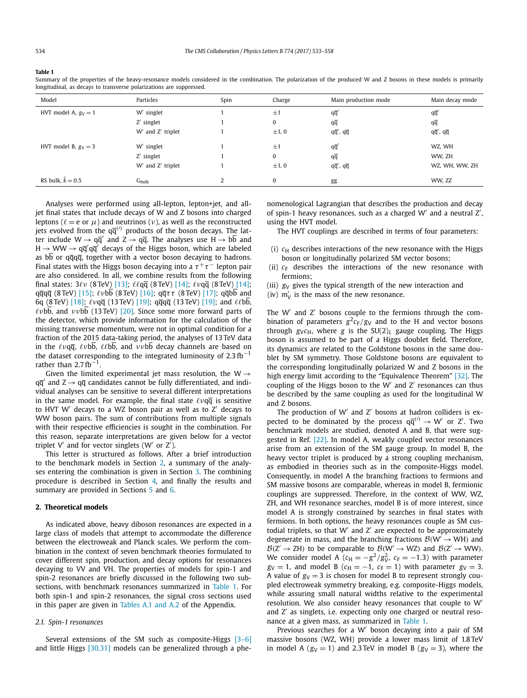<span id="page-1-0"></span>Summary of the properties of the heavy-resonance models considered in the combination. The polarization of the produced W and Z bosons in these models is primarily longitudinal, as decays to transverse polarizations are suppressed.

| Model                  | Particles         | Spin           | Charge     | Main production mode               | Main decay mode                    |
|------------------------|-------------------|----------------|------------|------------------------------------|------------------------------------|
| HVT model A, $g_V = 1$ | W' singlet        |                | ±1         | $q\overline{q}'$                   | $q\overline{q}'$                   |
|                        | Z' singlet        |                | $\bf{0}$   | qq                                 | qq                                 |
|                        | W' and Z' triplet |                | $\pm 1, 0$ | $q\overline{q}'$ , $q\overline{q}$ | $q\overline{q}'$ , $q\overline{q}$ |
| HVT model B, $g_V = 3$ | W' singlet        |                | ±1         | $q\overline{q}'$                   | WZ, WH                             |
|                        | $Z'$ singlet      |                | $\bf{0}$   | $q\overline{q}$                    | WW, ZH                             |
|                        | W' and Z' triplet |                | $\pm 1, 0$ | $q\overline{q}'$ , $q\overline{q}$ | WZ, WH, WW, ZH                     |
| RS bulk, $k = 0.5$     | $G_{\text{bulk}}$ | $\overline{2}$ | $\bf{0}$   | gg                                 | WW, ZZ                             |

Analyses were performed using all-lepton, lepton+jet, and alljet final states that include decays of W and Z bosons into charged leptons ( $\ell = e$  or  $\mu$ ) and neutrinos ( $\nu$ ), as well as the reconstructed jets evolved from the  $q\overline{q}^{(\prime)}$  products of the boson decays. The latter include  $W \rightarrow q\overline{q}'$  and  $Z \rightarrow q\overline{q}$ . The analyses use  $H \rightarrow b\overline{b}$  and  $\mathrm{H} \rightarrow \mathrm{WW} \rightarrow \mathrm{q}\mathrm{\overline{q}^{\prime}}\mathrm{q}\mathrm{\overline{q}^{\prime}}$  decays of the Higgs boson, which are labeled as bb or  $q\overline{q}q\overline{q}$ , together with a vector boson decaying to hadrons. Final states with the Higgs boson decaying into a  $\tau^+\tau^-$  lepton pair are also considered. In all, we combine results from the following final states: 3*lv* (8 TeV) [\[13\];](#page-8-0) *ll*q (8 TeV) [\[14\];](#page-8-0) *lv*q (8 TeV) [14]; qqqq (8 TeV) [\[15\];](#page-8-0) *ν*bb (8 TeV) [\[16\];](#page-8-0) qq*ττ* (8 TeV) [\[17\];](#page-8-0) qqbb and 6q (8 TeV) [\[18\];](#page-8-0) *ℓv*qq (13 TeV) [\[19\];](#page-8-0) qqqq (13 TeV) [19]; and *ℓℓb*b, *ν*bb, and *νν*bb (13 TeV) [\[20\].](#page-8-0) Since some more forward parts of the detector, which provide information for the calculation of the missing transverse momentum, were not in optimal condition for a fraction of the 2015 data-taking period, the analyses of 13 TeV data in the *l*νq<sub>Q</sub>, *l*νb<sub>b</sub>, *ll*b<sub>b</sub>, and *νν*bb decay channels are based on the dataset corresponding to the integrated luminosity of 2.3 fb<sup>-1</sup> rather than  $2.7$  fb<sup>-1</sup>.

Given the limited experimental jet mass resolution, the  $W \rightarrow$  $q\overline{q}'$  and  $Z \rightarrow q\overline{q}$  candidates cannot be fully differentiated, and individual analyses can be sensitive to several different interpretations in the same model. For example, the final state  $\ell \nu q\overline{q}$  is sensitive to HVT W' decays to a WZ boson pair as well as to  $Z'$  decays to WW boson pairs. The sum of contributions from multiple signals with their respective efficiencies is sought in the combination. For this reason, separate interpretations are given below for a vector triplet V' and for vector singlets (W' or Z').

This letter is structured as follows. After a brief introduction to the benchmark models in Section 2, a summary of the analyses entering the combination is given in Section [3.](#page-2-0) The combining procedure is described in Section [4,](#page-4-0) and finally the results and summary are provided in Sections [5](#page-4-0) and [6.](#page-7-0)

#### **2. Theoretical models**

As indicated above, heavy diboson resonances are expected in a large class of models that attempt to accommodate the difference between the electroweak and Planck scales. We perform the combination in the context of seven benchmark theories formulated to cover different spin, production, and decay options for resonances decaying to VV and VH. The properties of models for spin-1 and spin-2 resonances are briefly discussed in the following two subsections, with benchmark resonances summarized in Table 1. For both spin-1 and spin-2 resonances, the signal cross sections used in this paper are given in [Tables A.1 and A.2](#page-8-0) of the Appendix.

#### *2.1. Spin-1 resonances*

Several extensions of the SM such as composite-Higgs [\[3–6\]](#page-8-0) and little Higgs [\[30,31\]](#page-9-0) models can be generalized through a phenomenological Lagrangian that describes the production and decay of spin-1 heavy resonances, such as a charged W and a neutral Z , using the HVT model.

The HVT couplings are described in terms of four parameters:

- (i)  $c_H$  describes interactions of the new resonance with the Higgs boson or longitudinally polarized SM vector bosons;
- (ii)  $c_F$  describes the interactions of the new resonance with fermions;
- (iii)  $g_V$  gives the typical strength of the new interaction and
- (iv)  $m'_{\rm V}$  is the mass of the new resonance.

The  $W'$  and  $Z'$  bosons couple to the fermions through the combination of parameters  $g^2c_F/g_V$  and to the H and vector bosons through  $g_Vc_H$ , where g is the  $SU(2)_L$  gauge coupling. The Higgs boson is assumed to be part of a Higgs doublet field. Therefore, its dynamics are related to the Goldstone bosons in the same doublet by SM symmetry. Those Goldstone bosons are equivalent to the corresponding longitudinally polarized W and Z bosons in the high energy limit according to the "Equivalence Theorem" [\[32\].](#page-9-0) The coupling of the Higgs boson to the  $W'$  and  $Z'$  resonances can thus be described by the same coupling as used for the longitudinal W and Z bosons.

The production of  $W'$  and  $Z'$  bosons at hadron colliders is expected to be dominated by the process  $q\overline{q}^{(\prime)} \rightarrow W'$  or Z'. Two benchmark models are studied, denoted A and B, that were suggested in Ref. [\[22\].](#page-8-0) In model A, weakly coupled vector resonances arise from an extension of the SM gauge group. In model B, the heavy vector triplet is produced by a strong coupling mechanism, as embodied in theories such as in the composite-Higgs model. Consequently, in model A the branching fractions to fermions and SM massive bosons are comparable, whereas in model B, fermionic couplings are suppressed. Therefore, in the context of WW, WZ, ZH, and WH resonance searches, model B is of more interest, since model A is strongly constrained by searches in final states with fermions. In both options, the heavy resonances couple as SM custodial triplets, so that  $W'$  and  $Z'$  are expected to be approximately degenerate in mass, and the branching fractions  $\mathcal{B}(W' \rightarrow WH)$  and  $B(Z' \rightarrow ZH)$  to be comparable to  $B(W' \rightarrow WZ)$  and  $B(Z' \rightarrow WW)$ . We consider model A ( $c_H = -g^2/g_V^2$ ,  $c_F = -1.3$ ) with parameter  $g_V = 1$ , and model B ( $c_H = -1$ ,  $c_F = 1$ ) with parameter  $g_V = 3$ . A value of  $g_V = 3$  is chosen for model B to represent strongly coupled electroweak symmetry breaking, e.g. composite-Higgs models, while assuring small natural widths relative to the experimental resolution. We also consider heavy resonances that couple to W and  $Z'$  as singlets, i.e. expecting only one charged or neutral resonance at a given mass, as summarized in Table 1.

Previous searches for a W' boson decaying into a pair of SM massive bosons (WZ, WH) provide a lower mass limit of 1.8 TeV in model A  $(g_V = 1)$  and 2.3 TeV in model B  $(g_V = 3)$ , where the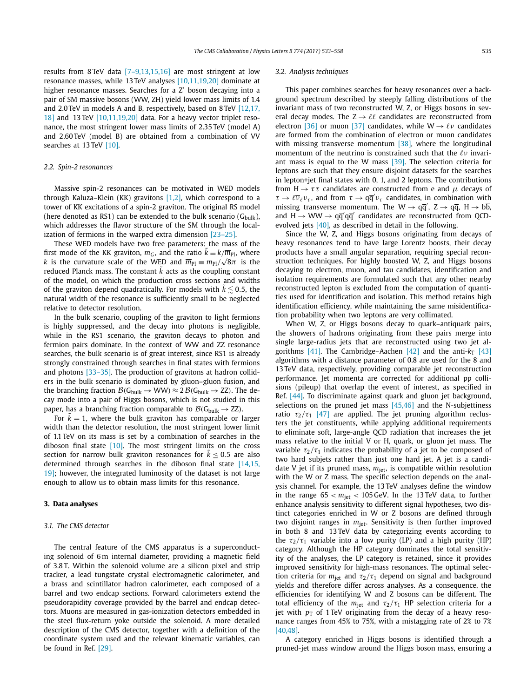<span id="page-2-0"></span>results from 8 TeV data [\[7–9,13,15,16\]](#page-8-0) are most stringent at low resonance masses, while 13 TeV analyses [\[10,11,19,20\]](#page-8-0) dominate at higher resonance masses. Searches for a  $Z'$  boson decaying into a pair of SM massive bosons (WW, ZH) yield lower mass limits of 1.4 and 2.0 TeV in models A and B, respectively, based on 8 TeV [\[12,17,](#page-8-0) [18\]](#page-8-0) and 13 TeV [\[10,11,19,20\]](#page-8-0) data. For a heavy vector triplet resonance, the most stringent lower mass limits of 2.35 TeV (model A) and 2.60 TeV (model B) are obtained from a combination of VV searches at 13 TeV [\[10\].](#page-8-0)

#### *2.2. Spin-2 resonances*

Massive spin-2 resonances can be motivated in WED models through Kaluza–Klein (KK) gravitons [\[1,2\],](#page-8-0) which correspond to a tower of KK excitations of a spin-2 graviton. The original RS model (here denoted as RS1) can be extended to the bulk scenario ( $G_{\text{bulk}}$ ), which addresses the flavor structure of the SM through the localization of fermions in the warped extra dimension [\[23–25\].](#page-9-0)

These WED models have two free parameters: the mass of the first mode of the KK graviton,  $m_G$ , and the ratio  $k \equiv k / \overline{m_{Pl}}$ , where *k* is the curvature scale of the WED and  $\overline{m}_{\text{Pl}} \equiv m_{\text{Pl}}/\sqrt{8\pi}$  is the reduced Planck mass. The constant ˜ *k* acts as the coupling constant of the model, on which the production cross sections and widths of the graviton depend quadratically. For models with  $k$   $\lesssim$  0.5, the natural width of the resonance is sufficiently small to be neglected relative to detector resolution.

In the bulk scenario, coupling of the graviton to light fermions is highly suppressed, and the decay into photons is negligible, while in the RS1 scenario, the graviton decays to photon and fermion pairs dominate. In the context of WW and ZZ resonance searches, the bulk scenario is of great interest, since RS1 is already strongly constrained through searches in final states with fermions and photons [\[33–35\].](#page-9-0) The production of gravitons at hadron colliders in the bulk scenario is dominated by gluon–gluon fusion, and the branching fraction  $\mathcal{B}(G_{bulk} \to WW) \approx 2 \mathcal{B}(G_{bulk} \to ZZ)$ . The decay mode into a pair of Higgs bosons, which is not studied in this paper, has a branching fraction comparable to  $\mathcal{B}(G_{\text{bulk}} \rightarrow ZZ)$ .

For  $k = 1$ , where the bulk graviton has comparable or larger width than the detector resolution, the most stringent lower limit of 1.1 TeV on its mass is set by a combination of searches in the diboson final state  $[10]$ . The most stringent limits on the cross section for narrow bulk graviton resonances for  $k \leq 0.5$  are also determined through searches in the diboson final state [\[14,15,](#page-8-0) [19\];](#page-8-0) however, the integrated luminosity of the dataset is not large enough to allow us to obtain mass limits for this resonance.

#### **3. Data analyses**

#### *3.1. The CMS detector*

The central feature of the CMS apparatus is a superconducting solenoid of 6 m internal diameter, providing a magnetic field of 3.8 T. Within the solenoid volume are a silicon pixel and strip tracker, a lead tungstate crystal electromagnetic calorimeter, and a brass and scintillator hadron calorimeter, each composed of a barrel and two endcap sections. Forward calorimeters extend the pseudorapidity coverage provided by the barrel and endcap detectors. Muons are measured in gas-ionization detectors embedded in the steel flux-return yoke outside the solenoid. A more detailed description of the CMS detector, together with a definition of the coordinate system used and the relevant kinematic variables, can be found in Ref. [\[29\].](#page-9-0)

#### *3.2. Analysis techniques*

This paper combines searches for heavy resonances over a background spectrum described by steeply falling distributions of the invariant mass of two reconstructed W, Z, or Higgs bosons in several decay modes. The  $Z \rightarrow \ell \ell$  candidates are reconstructed from electron [\[36\]](#page-9-0) or muon [\[37\]](#page-9-0) candidates, while  $W \rightarrow \ell \nu$  candidates are formed from the combination of electron or muon candidates with missing transverse momentum [\[38\],](#page-9-0) where the longitudinal momentum of the neutrino is constrained such that the *lv* invariant mass is equal to the W mass [\[39\].](#page-9-0) The selection criteria for leptons are such that they ensure disjoint datasets for the searches in lepton+jet final states with 0, 1, and 2 leptons. The contributions from  $H \rightarrow \tau \tau$  candidates are constructed from e and  $\mu$  decays of  $\tau \to \ell \overline{\nu}_\ell \nu_\tau$ , and from  $\tau \to q\overline{q}'\nu_\tau$  candidates, in combination with missing transverse momentum. The W  $\rightarrow$  q $\overline{q}'$ , Z  $\rightarrow$  q $\overline{q}$ , H  $\rightarrow$  bb, and  $H \rightarrow WW \rightarrow q\overline{q}'q\overline{q}'$  candidates are reconstructed from QCDevolved jets  $[40]$ , as described in detail in the following.

Since the W, Z, and Higgs bosons originating from decays of heavy resonances tend to have large Lorentz boosts, their decay products have a small angular separation, requiring special reconstruction techniques. For highly boosted W, Z, and Higgs bosons decaying to electron, muon, and tau candidates, identification and isolation requirements are formulated such that any other nearby reconstructed lepton is excluded from the computation of quantities used for identification and isolation. This method retains high identification efficiency, while maintaining the same misidentification probability when two leptons are very collimated.

When W, Z, or Higgs bosons decay to quark–antiquark pairs, the showers of hadrons originating from these pairs merge into single large-radius jets that are reconstructed using two jet al-gorithms [\[41\].](#page-9-0) The Cambridge–Aachen [\[42\]](#page-9-0) and the anti- $k_T$  [\[43\]](#page-9-0) algorithms with a distance parameter of 0.8 are used for the 8 and 13 TeV data, respectively, providing comparable jet reconstruction performance. Jet momenta are corrected for additional pp collisions (pileup) that overlap the event of interest, as specified in Ref. [\[44\].](#page-9-0) To discriminate against quark and gluon jet background, selections on the pruned jet mass  $[45,46]$  and the N-subjettiness ratio  $\tau_2/\tau_1$  [\[47\]](#page-9-0) are applied. The jet pruning algorithm reclusters the jet constituents, while applying additional requirements to eliminate soft, large-angle QCD radiation that increases the jet mass relative to the initial V or H, quark, or gluon jet mass. The variable  $\tau_2/\tau_1$  indicates the probability of a jet to be composed of two hard subjets rather than just one hard jet. A jet is a candidate V jet if its pruned mass,  $m_{jet}$ , is compatible within resolution with the W or Z mass. The specific selection depends on the analysis channel. For example, the 13 TeV analyses define the window in the range  $65 < m_{jet} < 105$  GeV. In the 13 TeV data, to further enhance analysis sensitivity to different signal hypotheses, two distinct categories enriched in W or Z bosons are defined through two disjoint ranges in  $m_{\text{jet}}$ . Sensitivity is then further improved in both 8 and 13 TeV data by categorizing events according to the  $\tau_2/\tau_1$  variable into a low purity (LP) and a high purity (HP) category. Although the HP category dominates the total sensitivity of the analyses, the LP category is retained, since it provides improved sensitivity for high-mass resonances. The optimal selection criteria for  $m_{jet}$  and  $\tau_2/\tau_1$  depend on signal and background yields and therefore differ across analyses. As a consequence, the efficiencies for identifying W and Z bosons can be different. The total efficiency of the  $m_{jet}$  and  $\tau_2/\tau_1$  HP selection criteria for a jet with  $p_T$  of 1 TeV originating from the decay of a heavy resonance ranges from 45% to 75%, with a mistagging rate of 2% to 7% [\[40,48\].](#page-9-0)

A category enriched in Higgs bosons is identified through a pruned-jet mass window around the Higgs boson mass, ensuring a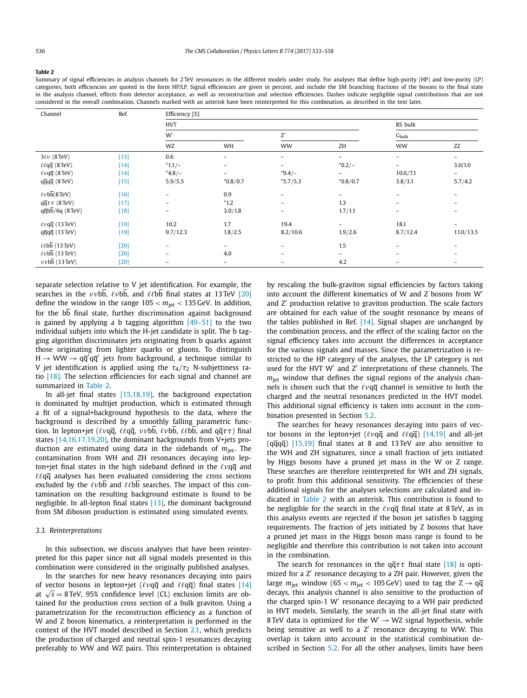Summary of signal efficiencies in analysis channels for 2 TeV resonances in the different models under study. For analyses that define high-purity (HP) and low-purity (LP) categories, both efficiencies are quoted in the form HP/LP. Signal efficiencies are given in percent, and include the SM branching fractions of the bosons to the final state in the analysis channel effects from detector acceptance, as well as reconstruction and selection efficiencies. Dashes indicate negligible signal contributions that are not considered in the overall combination. Channels marked with an asterisk have been reinterpreted for this combination, as described in the text later.

| Channel                                 | Ref.   | Efficiency [%]           |            |                          |            |                          |                          |
|-----------------------------------------|--------|--------------------------|------------|--------------------------|------------|--------------------------|--------------------------|
|                                         |        | <b>HVT</b>               |            |                          |            | RS bulk                  |                          |
|                                         |        | W'                       |            | Z'                       |            | $G_{\text{bulk}}$        |                          |
|                                         |        | WZ                       | WH         | <b>WW</b>                | ZH         | <b>WW</b>                | ZZ                       |
| $3\ell\nu$ (8 TeV)                      | $[13]$ | 0.6                      |            | $\qquad \qquad -$        | -          | $\overline{\phantom{0}}$ |                          |
| $\ell\ell q\overline{q}$ (8 TeV)        | $[14]$ | $*1.1/-$                 | Ξ.         | -                        | $*0.2/-$   |                          | 3.0/1.0                  |
| $\ell\nu q\overline{q}$ (8 TeV)         | $[14]$ | $*4.8/-$                 |            | $*9.4/-$                 | Ξ.         | 10.6/7.1                 | $\overline{\phantom{a}}$ |
| $q\overline{q}q\overline{q}$ (8 TeV)    | $[15]$ | 5.9/5.5                  | $*0.8/0.7$ | $*5.7/5.3$               | $*0.8/0.7$ | 3.8/3.1                  | 5.7/4.2                  |
| $\ell v b\overline{b}$ (8 TeV)          | $[16]$ | $\overline{\phantom{0}}$ | 0.9        | $\overline{\phantom{0}}$ |            |                          | -                        |
| $q\overline{q}\tau\tau$ (8 TeV)         | $[17]$ | -                        | $*1.2$     | $\overline{\phantom{0}}$ | 1.3        |                          | $\overline{\phantom{0}}$ |
| $q\overline{q}b\overline{b}/6q$ (8 TeV) | $[18]$ | -                        | 3.0/1.8    | -                        | 1.7/1.1    |                          |                          |
| $\ell\nu$ qq (13 TeV)                   | $[19]$ | 10.2                     | 1.7        | 19.4                     |            | 18.1                     | -                        |
| $q\overline{q}q\overline{q}$ (13 TeV)   | $[19]$ | 9.7/12.3                 | 1.8/2.5    | 8.2/10.6                 | 1.9/2.6    | 8.7/12.4                 | 11.0/13.5                |
| $\ell\ell b\overline{b}$ (13 TeV)       | $[20]$ | $\qquad \qquad =$        | -          | -                        | 1.5        | ۰                        |                          |
| $\ell v b\overline{b}$ (13 TeV)         | $[20]$ | $\qquad \qquad$          | 4.0        | $\overline{\phantom{0}}$ | -          |                          |                          |
| $v v b\overline{b}$ (13 TeV)            | $[20]$ | $\qquad \qquad =$        | -          | -                        | 4.2        | $\equiv$                 | -                        |

separate selection relative to V jet identification. For example, the searches in the *νν*bb, *lvbb*, and *llbb* final states at 13 TeV [\[20\]](#page-8-0) define the window in the range  $105 < m_{jet} < 135$  GeV. In addition, for the  $b\overline{b}$  final state, further discrimination against background is gained by applying a b tagging algorithm  $[49-51]$  to the two individual subjets into which the H-jet candidate is split. The b tagging algorithm discriminates jets originating from b quarks against those originating from lighter quarks or gluons. To distinguish  $H \rightarrow WW \rightarrow q\overline{q}'q\overline{q}'$  jets from background, a technique similar to V jet identification is applied using the  $\tau_4/\tau_2$  N-subjettiness ratio [\[18\].](#page-8-0) The selection efficiencies for each signal and channel are summarized in Table 2.

In all-jet final states [\[15,18,19\],](#page-8-0) the background expectation is dominated by multijet production, which is estimated through a fit of a signal+background hypothesis to the data, where the background is described by a smoothly falling parametric function. In lepton+jet ( $\ell \nu q\overline{q}$ ,  $\ell \ell q\overline{q}$ ,  $\nu \nu b\overline{b}$ ,  $\ell \nu b\overline{b}$ ,  $\ell \ell b\overline{b}$ , and  $q\overline{q}\tau\tau$ ) final states [\[14,16,17,19,20\],](#page-8-0) the dominant backgrounds from V+jets production are estimated using data in the sidebands of  $m_{\text{jet}}$ . The contamination from WH and ZH resonances decaying into lepton+jet final states in the high sideband defined in the *lv*qq and  $\ell\ell q\overline{q}$  analyses has been evaluated considering the cross sections excluded by the *lvbb* and *llbb* searches. The impact of this contamination on the resulting background estimate is found to be negligible. In all-lepton final states [\[13\],](#page-8-0) the dominant background from SM diboson production is estimated using simulated events.

#### *3.3. Reinterpretations*

In this subsection, we discuss analyses that have been reinterpreted for this paper since not all signal models presented in this combination were considered in the originally published analyses.

In the searches for new heavy resonances decaying into pairs of vector bosons in lepton+jet (*l* νq<sub>Q</sub> and *l l*<sub>4</sub><sub>Q</sub>) final states [\[14\]](#page-8-0) at  $\sqrt{s}$  = 8 TeV, 95% confidence level (CL) exclusion limits are obtained for the production cross section of a bulk graviton. Using a parametrization for the reconstruction efficiency as a function of W and Z boson kinematics, a reinterpretation is performed in the context of the HVT model described in Section [2.1,](#page-1-0) which predicts the production of charged and neutral spin-1 resonances decaying preferably to WW and WZ pairs. This reinterpretation is obtained by rescaling the bulk-graviton signal efficiencies by factors taking into account the different kinematics of W and Z bosons from W and Z' production relative to graviton production. The scale factors are obtained for each value of the sought resonance by means of the tables published in Ref.  $[14]$ . Signal shapes are unchanged by the combination process, and the effect of the scaling factor on the signal efficiency takes into account the differences in acceptance for the various signals and masses. Since the parametrization is restricted to the HP category of the analyses, the LP category is not used for the HVT W' and Z' interpretations of these channels. The  $m<sub>jet</sub>$  window that defines the signal regions of the analysis channels is chosen such that the *l* νq<sub>Q</sub> channel is sensitive to both the charged and the neutral resonances predicted in the HVT model. This additional signal efficiency is taken into account in the combination presented in Section [5.2.](#page-6-0)

The searches for heavy resonances decaying into pairs of vector bosons in the lepton+jet ( $\ell \nu q \overline{q}$  and  $\ell \ell q \overline{q}$ ) [\[14,19\]](#page-8-0) and all-jet  $(q\overline{q}q\overline{q})$  [\[15,19\]](#page-8-0) final states at 8 and 13 TeV are also sensitive to the WH and ZH signatures, since a small fraction of jets initiated by Higgs bosons have a pruned jet mass in the W or Z range. These searches are therefore reinterpreted for WH and ZH signals, to profit from this additional sensitivity. The efficiencies of these additional signals for the analyses selections are calculated and indicated in Table 2 with an asterisk. This contribution is found to be negligible for the search in the *l* ναα final state at 8 TeV, as in this analysis events are rejected if the boson jet satisfies b tagging requirements. The fraction of jets initiated by Z bosons that have a pruned jet mass in the Higgs boson mass range is found to be negligible and therefore this contribution is not taken into account in the combination.

The search for resonances in the  $q\overline{q}\tau\tau$  final state [\[18\]](#page-8-0) is optimized for a Z' resonance decaying to a ZH pair. However, given the large  $m_{\text{jet}}$  window (65  $< m_{\text{jet}} < 105 \text{ GeV}$ ) used to tag the  $Z \rightarrow q\overline{q}$ decays, this analysis channel is also sensitive to the production of the charged spin-1 W' resonance decaying to a WH pair predicted in HVT models. Similarly, the search in the all-jet final state with 8 TeV data is optimized for the  $W' \rightarrow WZ$  signal hypothesis, while being sensitive as well to a  $Z'$  resonance decaying to WW. This overlap is taken into account in the statistical combination described in Section [5.2.](#page-6-0) For all the other analyses, limits have been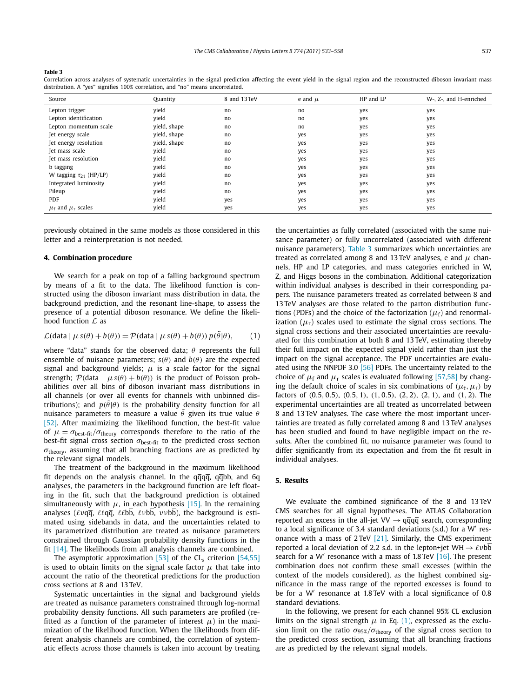<span id="page-4-0"></span>Correlation across analyses of systematic uncertainties in the signal prediction affecting the event yield in the signal region and the reconstructed diboson invariant mass distribution. A "yes" signifies 100% correlation, and "no" means uncorrelated.

| Source                                 | Quantity     | 8 and 13 TeV | e and $\mu$ | HP and LP | W-. Z-. and H-enriched |
|----------------------------------------|--------------|--------------|-------------|-----------|------------------------|
| Lepton trigger                         | yield        | no           | no          | yes       | yes                    |
| Lepton identification                  | yield        | no           | no          | yes       | yes                    |
| Lepton momentum scale                  | yield, shape | no           | no          | yes       | yes                    |
| Jet energy scale                       | yield, shape | no           | yes         | yes       | yes                    |
| Jet energy resolution                  | vield, shape | no           | yes         | yes       | yes                    |
| Jet mass scale                         | yield        | no           | yes         | yes       | yes                    |
| Jet mass resolution                    | yield        | no           | yes         | yes       | yes                    |
| b tagging                              | yield        | no           | yes         | yes       | yes                    |
| W tagging $\tau_{21}$ (HP/LP)          | yield        | no           | yes         | yes       | yes                    |
| Integrated luminosity                  | yield        | no           | yes         | yes       | yes                    |
| Pileup                                 | yield        | no           | yes         | yes       | yes                    |
| <b>PDF</b>                             | yield        | yes          | yes         | yes       | yes                    |
| $\mu_{\rm f}$ and $\mu_{\rm r}$ scales | yield        | yes          | yes         | yes       | yes                    |

previously obtained in the same models as those considered in this letter and a reinterpretation is not needed.

#### **4. Combination procedure**

We search for a peak on top of a falling background spectrum by means of a fit to the data. The likelihood function is constructed using the diboson invariant mass distribution in data, the background prediction, and the resonant line-shape, to assess the presence of a potential diboson resonance. We define the likelihood function  $\mathcal L$  as

$$
\mathcal{L}(\text{data} \mid \mu \, s(\theta) + b(\theta)) = \mathcal{P}(\text{data} \mid \mu \, s(\theta) + b(\theta)) \, p(\tilde{\theta}|\theta), \qquad (1)
$$

where "data" stands for the observed data; *θ* represents the full ensemble of nuisance parameters;  $s(\theta)$  and  $b(\theta)$  are the expected signal and background yields;  $\mu$  is a scale factor for the signal strength;  $P$ (data  $| \mu s(\theta) + b(\theta)$ ) is the product of Poisson probabilities over all bins of diboson invariant mass distributions in all channels (or over all events for channels with unbinned distributions); and  $p(\hat{\theta}|\theta)$  is the probability density function for all nuisance parameters to measure a value *θ*˜ given its true value *θ* [\[52\].](#page-9-0) After maximizing the likelihood function, the best-fit value of  $\mu = \sigma_{\text{best-fit}}/\sigma_{\text{theory}}$  corresponds therefore to the ratio of the best-fit signal cross section  $\sigma_{best-fit}$  to the predicted cross section *σ*theory, assuming that all branching fractions are as predicted by the relevant signal models.

The treatment of the background in the maximum likelihood fit depends on the analysis channel. In the  $q\overline{q}q\overline{q}$ ,  $q\overline{q}$ bb, and 6q analyses, the parameters in the background function are left floating in the fit, such that the background prediction is obtained simultaneously with  $\mu$ , in each hypothesis [\[15\].](#page-8-0) In the remaining analyses (*l* νq<del>q</del>, *l l*qq, *l l*bb, *l v*bb, *vvbb*), the background is estimated using sidebands in data, and the uncertainties related to its parametrized distribution are treated as nuisance parameters constrained through Gaussian probability density functions in the fit [\[14\].](#page-8-0) The likelihoods from all analysis channels are combined.

The asymptotic approximation  $[53]$  of the CL<sub>s</sub> criterion  $[54,55]$ is used to obtain limits on the signal scale factor  $\mu$  that take into account the ratio of the theoretical predictions for the production cross sections at 8 and 13 TeV.

Systematic uncertainties in the signal and background yields are treated as nuisance parameters constrained through log-normal probability density functions. All such parameters are profiled (refitted as a function of the parameter of interest  $\mu$ ) in the maximization of the likelihood function. When the likelihoods from different analysis channels are combined, the correlation of systematic effects across those channels is taken into account by treating the uncertainties as fully correlated (associated with the same nuisance parameter) or fully uncorrelated (associated with different nuisance parameters). Table 3 summarizes which uncertainties are treated as correlated among 8 and 13 TeV analyses, e and *μ* channels, HP and LP categories, and mass categories enriched in W, Z, and Higgs bosons in the combination. Additional categorization within individual analyses is described in their corresponding papers. The nuisance parameters treated as correlated between 8 and 13 TeV analyses are those related to the parton distribution functions (PDFs) and the choice of the factorization  $(\mu_f)$  and renormalization  $(\mu_r)$  scales used to estimate the signal cross sections. The signal cross sections and their associated uncertainties are reevaluated for this combination at both 8 and 13 TeV, estimating thereby their full impact on the expected signal yield rather than just the impact on the signal acceptance. The PDF uncertainties are evalu-ated using the NNPDF 3.0 [\[56\]](#page-9-0) PDFs. The uncertainty related to the choice of  $\mu_f$  and  $\mu_r$  scales is evaluated following [\[57,58\]](#page-9-0) by changing the default choice of scales in six combinations of  $(\mu_f, \mu_r)$  by factors of  $(0.5, 0.5)$ ,  $(0.5, 1)$ ,  $(1, 0.5)$ ,  $(2, 2)$ ,  $(2, 1)$ , and  $(1, 2)$ . The experimental uncertainties are all treated as uncorrelated between 8 and 13 TeV analyses. The case where the most important uncertainties are treated as fully correlated among 8 and 13 TeV analyses has been studied and found to have negligible impact on the results. After the combined fit, no nuisance parameter was found to differ significantly from its expectation and from the fit result in individual analyses.

#### **5. Results**

We evaluate the combined significance of the 8 and 13 TeV CMS searches for all signal hypotheses. The ATLAS Collaboration reported an excess in the all-jet  $VV \rightarrow q\overline{q}q\overline{q}$  search, corresponding to a local significance of 3.4 standard deviations (s.d.) for a  $W'$  resonance with a mass of 2 TeV [\[21\].](#page-8-0) Similarly, the CMS experiment reported a local deviation of 2.2 s.d. in the lepton+jet WH  $\rightarrow \ell \nu b\overline{b}$ search for a W' resonance with a mass of  $1.8$  TeV  $[16]$ . The present combination does not confirm these small excesses (within the context of the models considered), as the highest combined significance in the mass range of the reported excesses is found to be for a W' resonance at 1.8 TeV with a local significance of 0.8 standard deviations.

In the following, we present for each channel 95% CL exclusion limits on the signal strength  $\mu$  in Eq. (1), expressed as the exclusion limit on the ratio *σ*95%*/σ*theory of the signal cross section to the predicted cross section, assuming that all branching fractions are as predicted by the relevant signal models.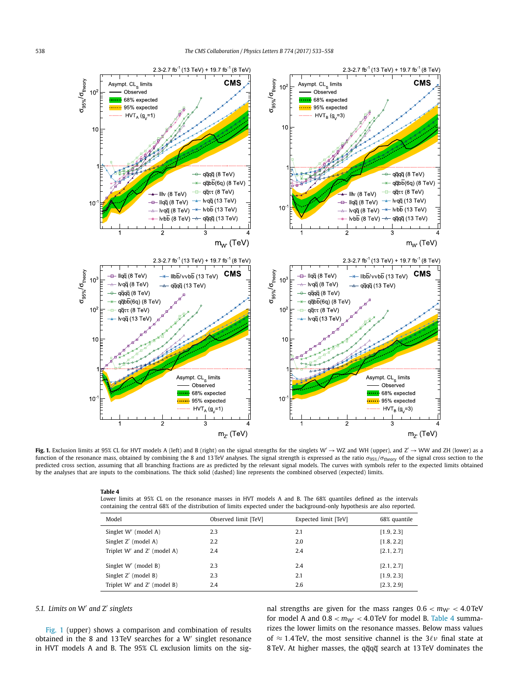<span id="page-5-0"></span>

Fig. 1. Exclusion limits at 95% CL for HVT models A (left) and B (right) on the signal strengths for the singlets W' → WZ and WH (upper), and Z' → WW and ZH (lower) as a function of the resonance mass, obtained by combining the 8 and 13 TeV analyses. The signal strength is expressed as the ratio *σ*95%*/σ*theory of the signal cross section to the predicted cross section, assuming that all branching fractions are as predicted by the relevant signal models. The curves with symbols refer to the expected limits obtained by the analyses that are inputs to the combinations. The thick solid (dashed) line represents the combined observed (expected) limits.

Lower limits at 95% CL on the resonance masses in HVT models A and B. The 68% quantiles defined as the intervals containing the central 68% of the distribution of limits expected under the background-only hypothesis are also reported.

| Model                       | Observed limit [TeV] | Expected limit [TeV] | 68% quantile |
|-----------------------------|----------------------|----------------------|--------------|
| Singlet W' (model A)        | 2.3                  | 2.1                  | [1.9, 2.3]   |
| Singlet Z' (model A)        | 2.2                  | 2.0                  | [1.8, 2.2]   |
| Triplet W' and Z' (model A) | 2.4                  | 2.4                  | [2.1, 2.7]   |
| Singlet W' (model B)        | 2.3                  | 2.4                  | [2.1, 2.7]   |
| Singlet Z' (model B)        | 2.3                  | 2.1                  | [1.9, 2.3]   |
| Triplet W' and Z' (model B) | 2.4                  | 2.6                  | [2.3, 2.9]   |

#### *5.1. Limits on* W *and* Z *singlets*

Fig. 1 (upper) shows a comparison and combination of results obtained in the 8 and 13 TeV searches for a W' singlet resonance in HVT models A and B. The 95% CL exclusion limits on the signal strengths are given for the mass ranges  $0.6 < m_{W'} < 4.0$  TeV for model A and  $0.8 < m_{W'} < 4.0$  TeV for model B. Table 4 summarizes the lower limits on the resonance masses. Below mass values of ≈ <sup>1</sup>*.*<sup>4</sup> TeV, the most sensitive channel is the <sup>3</sup>*ν* final state at 8 TeV. At higher masses, the  $q\overline{q}q\overline{q}$  search at 13 TeV dominates the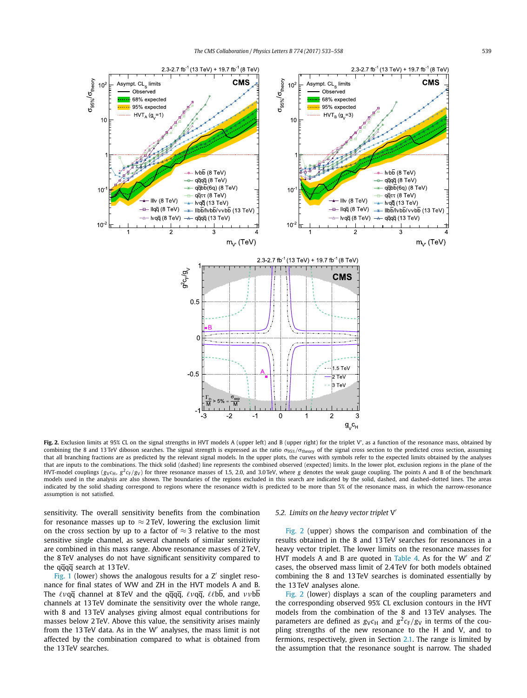<span id="page-6-0"></span>

**Fig. 2.** Exclusion limits at 95% CL on the signal strengths in HVT models A (upper left) and B (upper right) for the triplet V , as a function of the resonance mass, obtained by combining the 8 and 13 TeV diboson searches. The signal strength is expressed as the ratio *σ*<sub>95%</sub>/*σ*<sub>theory</sub> of the signal cross section to the predicted cross section, assuming that all branching fractions are as predicted by the relevant signal models. In the upper plots, the curves with symbols refer to the expected limits obtained by the analyses that are inputs to the combinations. The thick solid (dashed) line represents the combined observed (expected) limits. In the lower plot, exclusion regions in the plane of the HVT-model couplings ( $g_Vc_H$ ,  $g^2c_F/g_V$ ) for three resonance masses of 1.5, 2.0, and 3.0 TeV, where *g* denotes the weak gauge coupling. The points A and B of the benchmark models used in the analysis are also shown. The boundaries of the regions excluded in this search are indicated by the solid, dashed, and dashed–dotted lines. The areas indicated by the solid shading correspond to regions where the resonance width is predicted to be more than 5% of the resonance mass, in which the narrow-resonance assumption is not satisfied.

sensitivity. The overall sensitivity benefits from the combination for resonance masses up to  $\approx$  2 TeV, lowering the exclusion limit on the cross section by up to a factor of  $\approx$  3 relative to the most sensitive single channel, as several channels of similar sensitivity are combined in this mass range. Above resonance masses of 2 TeV, the 8 TeV analyses do not have significant sensitivity compared to the qqqq search at 13 TeV.

[Fig. 1](#page-5-0) (lower) shows the analogous results for a  $Z'$  singlet resonance for final states of WW and ZH in the HVT models A and B. The *lvq*q channel at 8 TeV and the qqqq, *lvq*q, *llbb*, and *ννbb* channels at 13 TeV dominate the sensitivity over the whole range, with 8 and 13 TeV analyses giving almost equal contributions for masses below 2 TeV. Above this value, the sensitivity arises mainly from the 13 TeV data. As in the W' analyses, the mass limit is not affected by the combination compared to what is obtained from the 13 TeV searches.

#### *5.2. Limits on the heavy vector triplet* V

Fig. 2 (upper) shows the comparison and combination of the results obtained in the 8 and 13 TeV searches for resonances in a heavy vector triplet. The lower limits on the resonance masses for HVT models A and B are quoted in [Table 4.](#page-5-0) As for the W' and  $Z'$ cases, the observed mass limit of 2.4 TeV for both models obtained combining the 8 and 13 TeV searches is dominated essentially by the 13 TeV analyses alone.

Fig. 2 (lower) displays a scan of the coupling parameters and the corresponding observed 95% CL exclusion contours in the HVT models from the combination of the 8 and 13 TeV analyses. The parameters are defined as  $g_Vc_H$  and  $g^2c_F/g_V$  in terms of the coupling strengths of the new resonance to the H and V, and to fermions, respectively, given in Section [2.1.](#page-1-0) The range is limited by the assumption that the resonance sought is narrow. The shaded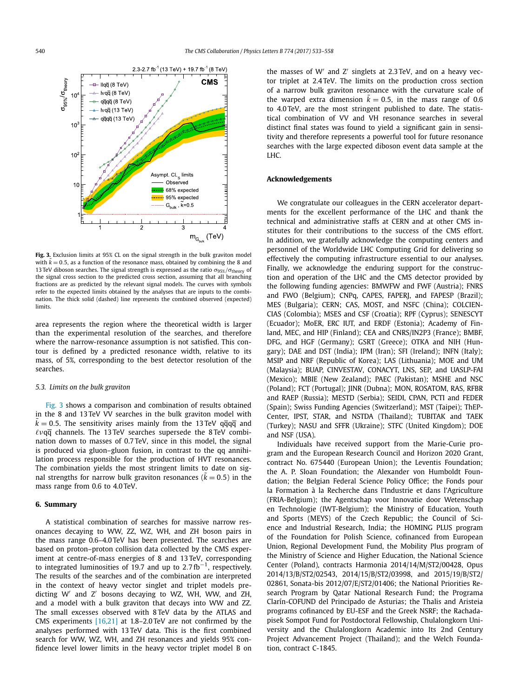<span id="page-7-0"></span>

Fig. 3. Exclusion limits at 95% CL on the signal strength in the bulk graviton model with  $k = 0.5$ , as a function of the resonance mass, obtained by combining the 8 and 13 TeV diboson searches. The signal strength is expressed as the ratio *σ*95%*/σ*theory of the signal cross section to the predicted cross section, assuming that all branching fractions are as predicted by the relevant signal models. The curves with symbols refer to the expected limits obtained by the analyses that are inputs to the combination. The thick solid (dashed) line represents the combined observed (expected) limits.

area represents the region where the theoretical width is larger than the experimental resolution of the searches, and therefore where the narrow-resonance assumption is not satisfied. This contour is defined by a predicted resonance width, relative to its mass, of 5%, corresponding to the best detector resolution of the searches.

#### *5.3. Limits on the bulk graviton*

Fig. 3 shows a comparison and combination of results obtained in the 8 and 13 TeV VV searches in the bulk graviton model with  $k = 0.5$ . The sensitivity arises mainly from the 13 TeV q $\overline{q}q\overline{q}$  and *ν*qq channels. The 13 TeV searches supersede the 8 TeV combination down to masses of 0.7 TeV, since in this model, the signal is produced via gluon–gluon fusion, in contrast to the qq annihilation process responsible for the production of HVT resonances. The combination yields the most stringent limits to date on signal strengths for narrow bulk graviton resonances  $(k = 0.5)$  in the mass range from 0.6 to 4.0 TeV.

#### **6. Summary**

A statistical combination of searches for massive narrow resonances decaying to WW, ZZ, WZ, WH, and ZH boson pairs in the mass range 0.6–4.0 TeV has been presented. The searches are based on proton–proton collision data collected by the CMS experiment at centre-of-mass energies of 8 and 13 TeV, corresponding to integrated luminosities of 19.7 and up to  $2.7 \text{ fb}^{-1}$ , respectively. The results of the searches and of the combination are interpreted in the context of heavy vector singlet and triplet models predicting  $W'$  and  $Z'$  bosons decaying to WZ, WH, WW, and ZH, and a model with a bulk graviton that decays into WW and ZZ. The small excesses observed with 8 TeV data by the ATLAS and CMS experiments [\[16,21\]](#page-8-0) at 1.8–2.0 TeV are not confirmed by the analyses performed with 13 TeV data. This is the first combined search for WW, WZ, WH, and ZH resonances and yields 95% confidence level lower limits in the heavy vector triplet model B on the masses of  $W'$  and  $Z'$  singlets at 2.3 TeV, and on a heavy vector triplet at 2.4 TeV. The limits on the production cross section of a narrow bulk graviton resonance with the curvature scale of the warped extra dimension  $k = 0.5$ , in the mass range of 0.6 to 4.0 TeV, are the most stringent published to date. The statistical combination of VV and VH resonance searches in several distinct final states was found to yield a significant gain in sensitivity and therefore represents a powerful tool for future resonance searches with the large expected diboson event data sample at the  $I H C$ 

#### **Acknowledgements**

We congratulate our colleagues in the CERN accelerator departments for the excellent performance of the LHC and thank the technical and administrative staffs at CERN and at other CMS institutes for their contributions to the success of the CMS effort. In addition, we gratefully acknowledge the computing centers and personnel of the Worldwide LHC Computing Grid for delivering so effectively the computing infrastructure essential to our analyses. Finally, we acknowledge the enduring support for the construction and operation of the LHC and the CMS detector provided by the following funding agencies: BMWFW and FWF (Austria); FNRS and FWO (Belgium); CNPq, CAPES, FAPERJ, and FAPESP (Brazil); MES (Bulgaria); CERN; CAS, MOST, and NSFC (China); COLCIEN-CIAS (Colombia); MSES and CSF (Croatia); RPF (Cyprus); SENESCYT (Ecuador); MoER, ERC IUT, and ERDF (Estonia); Academy of Finland, MEC, and HIP (Finland); CEA and CNRS/IN2P3 (France); BMBF, DFG, and HGF (Germany); GSRT (Greece); OTKA and NIH (Hungary); DAE and DST (India); IPM (Iran); SFI (Ireland); INFN (Italy); MSIP and NRF (Republic of Korea); LAS (Lithuania); MOE and UM (Malaysia); BUAP, CINVESTAV, CONACYT, LNS, SEP, and UASLP-FAI (Mexico); MBIE (New Zealand); PAEC (Pakistan); MSHE and NSC (Poland); FCT (Portugal); JINR (Dubna); MON, ROSATOM, RAS, RFBR and RAEP (Russia); MESTD (Serbia); SEIDI, CPAN, PCTI and FEDER (Spain); Swiss Funding Agencies (Switzerland); MST (Taipei); ThEP-Center, IPST, STAR, and NSTDA (Thailand); TUBITAK and TAEK (Turkey); NASU and SFFR (Ukraine); STFC (United Kingdom); DOE and NSF (USA).

Individuals have received support from the Marie-Curie program and the European Research Council and Horizon 2020 Grant, contract No. 675440 (European Union); the Leventis Foundation; the A. P. Sloan Foundation; the Alexander von Humboldt Foundation; the Belgian Federal Science Policy Office; the Fonds pour la Formation à la Recherche dans l'Industrie et dans l'Agriculture (FRIA-Belgium); the Agentschap voor Innovatie door Wetenschap en Technologie (IWT-Belgium); the Ministry of Education, Youth and Sports (MEYS) of the Czech Republic; the Council of Science and Industrial Research, India; the HOMING PLUS program of the Foundation for Polish Science, cofinanced from European Union, Regional Development Fund, the Mobility Plus program of the Ministry of Science and Higher Education, the National Science Center (Poland), contracts Harmonia 2014/14/M/ST2/00428, Opus 2014/13/B/ST2/02543, 2014/15/B/ST2/03998, and 2015/19/B/ST2/ 02861, Sonata-bis 2012/07/E/ST2/01406; the National Priorities Research Program by Qatar National Research Fund; the Programa Clarín-COFUND del Principado de Asturias; the Thalis and Aristeia programs cofinanced by EU-ESF and the Greek NSRF; the Rachadapisek Sompot Fund for Postdoctoral Fellowship, Chulalongkorn University and the Chulalongkorn Academic into Its 2nd Century Project Advancement Project (Thailand); and the Welch Foundation, contract C-1845.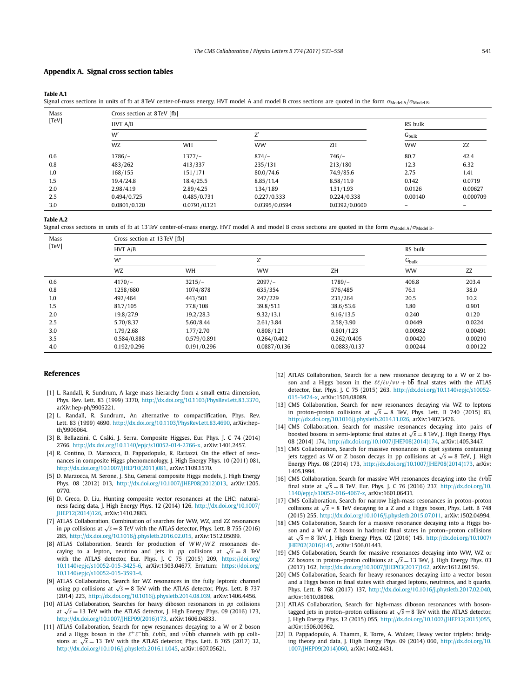#### <span id="page-8-0"></span>**Appendix A. Signal cross section tables**

#### **Table A.1**

Signal cross sections in units of fb at 8 TeV center-of-mass energy. HVT model A and model B cross sections are quoted in the form  $\sigma_{Model\ A}/\sigma_{Model\ B}$ .

| Mass<br>[TeV] |              | Cross section at 8 TeV [fb] |               |               |                          |                   |  |  |
|---------------|--------------|-----------------------------|---------------|---------------|--------------------------|-------------------|--|--|
|               | HVT A/B      |                             |               |               |                          |                   |  |  |
|               | W'           |                             |               | $\mathbf{z}$  |                          | $G_{\text{bulk}}$ |  |  |
|               | <b>WZ</b>    | WH                          | <b>WW</b>     | ZH            | <b>WW</b>                | ZZ                |  |  |
| 0.6           | $1786/-$     | $1377/-$                    | $874/-$       | $746/-$       | 80.7                     | 42.4              |  |  |
| 0.8           | 483/262      | 413/337                     | 235/131       | 213/180       | 12.3                     | 6.32              |  |  |
| 1.0           | 168/155      | 151/171                     | 80.0/74.6     | 74.9/85.6     | 2.75                     | 1.41              |  |  |
| 1.5           | 19.4/24.8    | 18.4/25.5                   | 8.85/11.4     | 8.58/11.9     | 0.142                    | 0.0719            |  |  |
| 2.0           | 2.98/4.19    | 2.89/4.25                   | 1.34/1.89     | 1.31/1.93     | 0.0126                   | 0.00627           |  |  |
| 2.5           | 0.494/0.725  | 0.485/0.731                 | 0.227/0.333   | 0.224/0.338   | 0.00140                  | 0.000709          |  |  |
| 3.0           | 0.0801/0.120 | 0.0791/0.121                | 0.0395/0.0594 | 0.0392/0.0600 | $\overline{\phantom{0}}$ | $\qquad \qquad -$ |  |  |

#### **Table A.2**

Signal cross sections in units of fb at 13 TeV center-of-mass energy. HVT model A and model B cross sections are quoted in the form *σ*<sub>Model A</sub>/σ<sub>Model B</sub>.

| Mass  |             | Cross section at 13 TeV [fb] |              |              |                   |         |  |  |
|-------|-------------|------------------------------|--------------|--------------|-------------------|---------|--|--|
| [TeV] | HVT A/B     | RS bulk                      |              |              |                   |         |  |  |
|       | W'          |                              | 7'           |              | $G_{\text{bulk}}$ |         |  |  |
|       | WZ          | WH                           | <b>WW</b>    | ZH           | <b>WW</b>         | ZZ      |  |  |
| 0.6   | $4170/-$    | $3215/-$                     | $2097/-$     | $1789/-$     | 406.8             | 203.4   |  |  |
| 0.8   | 1258/680    | 1074/878                     | 635/354      | 576/485      | 76.1              | 38.0    |  |  |
| 1.0   | 492/464     | 443/501                      | 247/229      | 231/264      | 20.5              | 10.2    |  |  |
| 1.5   | 81,7/105    | 77.8/108                     | 39.8/51.1    | 38.6/53.6    | 1.80              | 0.901   |  |  |
| 2.0   | 19.8/27.9   | 19.2/28.3                    | 9.32/13.1    | 9.16/13.5    | 0.240             | 0.120   |  |  |
| 2.5   | 5.70/8.37   | 5.60/8.44                    | 2.61/3.84    | 2.58/3.90    | 0.0449            | 0.0224  |  |  |
| 3.0   | 1,79/2.68   | 1,77/2,70                    | 0.808/1.21   | 0.801/1.23   | 0.00982           | 0.00491 |  |  |
| 3.5   | 0.584/0.888 | 0.579/0.891                  | 0.264/0.402  | 0.262/0.405  | 0.00420           | 0.00210 |  |  |
| 4.0   | 0.192/0.296 | 0.191/0.296                  | 0.0887/0.136 | 0.0883/0.137 | 0.00244           | 0.00122 |  |  |

#### **References**

- [1] L. Randall, R. Sundrum, A large mass hierarchy from a small extra dimension, Phys. Rev. Lett. 83 (1999) 3370, [http://dx.doi.org/10.1103/PhysRevLett.83.3370,](http://dx.doi.org/10.1103/PhysRevLett.83.3370) arXiv:hep-ph/9905221.
- [2] L. Randall, R. Sundrum, An alternative to compactification, Phys. Rev. Lett. 83 (1999) 4690, [http://dx.doi.org/10.1103/PhysRevLett.83.4690,](http://dx.doi.org/10.1103/PhysRevLett.83.4690) arXiv:hepth/9906064.
- [3] B. Bellazzini, C. Csáki, J. Serra, Composite Higgses, Eur. Phys. J. C 74 (2014) 2766, <http://dx.doi.org/10.1140/epjc/s10052-014-2766-x>, arXiv:1401.2457.
- [4] R. Contino, D. Marzocca, D. Pappadopulo, R. Rattazzi, On the effect of resonances in composite Higgs phenomenology, J. High Energy Phys. 10 (2011) 081, [http://dx.doi.org/10.1007/JHEP10\(2011\)081,](http://dx.doi.org/10.1007/JHEP10(2011)081) arXiv:1109.1570.
- [5] D. Marzocca, M. Serone, J. Shu, General composite Higgs models, J. High Energy Phys. 08 (2012) 013, [http://dx.doi.org/10.1007/JHEP08\(2012\)013](http://dx.doi.org/10.1007/JHEP08(2012)013), arXiv:1205. 0770.
- [6] D. Greco, D. Liu, Hunting composite vector resonances at the LHC: naturalness facing data, J. High Energy Phys. 12 (2014) 126, [http://dx.doi.org/10.1007/](http://dx.doi.org/10.1007/JHEP12(2014)126) [JHEP12\(2014\)126](http://dx.doi.org/10.1007/JHEP12(2014)126), arXiv:1410.2883.
- [7] ATLAS Collaboration, Combination of searches for WW, WZ, and ZZ resonances in *pp* collisions at  $\sqrt{s} = 8$  TeV with the ATLAS detector, Phys. Lett. B 755 (2016) 285, <http://dx.doi.org/10.1016/j.physletb.2016.02.015>, arXiv:1512.05099.
- [8] ATLAS Collaboration, Search for production of *W W /W Z* resonances decaying to a lepton, neutrino and jets in *pp* collisions at  $\sqrt{s} = 8$  TeV with the ATLAS detector, Eur. Phys. J. C 75 (2015) 209, [https://doi.org/](http://dx.doi.org/10.1140/epjc/s10052-015-3425-6) [10.1140/epjc/s10052-015-3425-6](http://dx.doi.org/10.1140/epjc/s10052-015-3425-6), arXiv:1503.04677, Erratum: [https://doi.org/](https://doi.org/10.1140/epjc/s10052-015-3593-4) [10.1140/epjc/s10052-015-3593-4](https://doi.org/10.1140/epjc/s10052-015-3593-4).
- [9] ATLAS Collaboration, Search for WZ resonances in the fully leptonic channel using pp collisions at  $\sqrt{s} = 8$  TeV with the ATLAS detector, Phys. Lett. B 737 (2014) 223, [http://dx.doi.org/10.1016/j.physletb.2014.08.039,](http://dx.doi.org/10.1016/j.physletb.2014.08.039) arXiv:1406.4456.
- [10] ATLAS Collaboration, Searches for heavy diboson resonances in *pp* collisions at  $\sqrt{s}$  = 13 TeV with the ATLAS detector, J. High Energy Phys. 09 (2016) 173, [http://dx.doi.org/10.1007/JHEP09\(2016\)173,](http://dx.doi.org/10.1007/JHEP09(2016)173) arXiv:1606.04833.
- [11] ATLAS Collaboration, Search for new resonances decaying to a W or Z boson and a Higgs boson in the  $\ell^+$ *e*<sup>-</sup>b<del>b</del>, *eνbb<sub>b</sub>*, and *ν⊽bb<sub>p</sub>* channels with pp collisions at  $\sqrt{s}$  = 13 TeV with the ATLAS detector, Phys. Lett. B 765 (2017) 32, <http://dx.doi.org/10.1016/j.physletb.2016.11.045>, arXiv:1607.05621.
- [12] ATLAS Collaboration, Search for a new resonance decaying to a W or Z boson and a Higgs boson in the  $\ell\ell/\ell\nu/\nu\nu + b\overline{b}$  final states with the ATLAS detector, Eur. Phys. J. C 75 (2015) 263, [http://dx.doi.org/10.1140/epjc/s10052-](http://dx.doi.org/10.1140/epjc/s10052-015-3474-x) [015-3474-x,](http://dx.doi.org/10.1140/epjc/s10052-015-3474-x) arXiv:1503.08089.
- [13] CMS Collaboration, Search for new resonances decaying via WZ to leptons in proton–proton collisions at  $\sqrt{s} = 8$  TeV, Phys. Lett. B 740 (2015) 83, <http://dx.doi.org/10.1016/j.physletb.2014.11.026>, arXiv:1407.3476.
- [14] CMS Collaboration, Search for massive resonances decaying into pairs of boosted bosons in semi-leptonic final states at  $\sqrt{s} = 8$  TeV, J. High Energy Phys. 08 (2014) 174, [http://dx.doi.org/10.1007/JHEP08\(2014\)174](http://dx.doi.org/10.1007/JHEP08(2014)174), arXiv:1405.3447.
- [15] CMS Collaboration, Search for massive resonances in dijet systems containing jets tagged as W or Z boson decays in pp collisions at  $\sqrt{s} = 8$  TeV, J. High Energy Phys. 08 (2014) 173, [http://dx.doi.org/10.1007/JHEP08\(2014\)173,](http://dx.doi.org/10.1007/JHEP08(2014)173) arXiv: 1405.1994.
- [16] CMS Collaboration, Search for massive WH resonances decaying into the *ν*bb final state at  $\sqrt{s} = 8$  TeV, Eur. Phys. I. C 76 (2016) 237, [http://dx.doi.org/10.](http://dx.doi.org/10.1140/epjc/s10052-016-4067-z) [1140/epjc/s10052-016-4067-z,](http://dx.doi.org/10.1140/epjc/s10052-016-4067-z) arXiv:1601.06431.
- [17] CMS Collaboration, Search for narrow high-mass resonances in proton-proton collisions at  $\sqrt{s}$  = 8 TeV decaying to a Z and a Higgs boson, Phys. Lett. B 748 (2015) 255, <http://dx.doi.org/10.1016/j.physletb.2015.07.011>, arXiv:1502.04994.
- [18] CMS Collaboration, Search for a massive resonance decaying into a Higgs boson and a W or Z boson in hadronic final states in proton–proton collisions at  $\sqrt{s}$  = 8 TeV, J. High Energy Phys. 02 (2016) 145, [http://dx.doi.org/10.1007/](http://dx.doi.org/10.1007/JHEP02(2016)145) [JHEP02\(2016\)145](http://dx.doi.org/10.1007/JHEP02(2016)145), arXiv:1506.01443.
- [19] CMS Collaboration, Search for massive resonances decaying into WW, WZ or ZZ bosons in proton–proton collisions at  $\sqrt{s}$  = 13 TeV, J. High Energy Phys. 03 (2017) 162, [http://dx.doi.org/10.1007/JHEP03\(2017\)162,](http://dx.doi.org/10.1007/JHEP03(2017)162) arXiv:1612.09159.
- [20] CMS Collaboration, Search for heavy resonances decaying into a vector boson and a Higgs boson in final states with charged leptons, neutrinos, and b quarks, Phys. Lett. B 768 (2017) 137, [http://dx.doi.org/10.1016/j.physletb.2017.02.040,](http://dx.doi.org/10.1016/j.physletb.2017.02.040) arXiv:1610.08066.
- [21] ATLAS Collaboration, Search for high-mass diboson resonances with bosontagged jets in proton–proton collisions at  $\sqrt{s} = 8$  TeV with the ATLAS detector, J. High Energy Phys. 12 (2015) 055, [http://dx.doi.org/10.1007/JHEP12\(2015\)055,](http://dx.doi.org/10.1007/JHEP12(2015)055) arXiv:1506.00962.
- [22] D. Pappadopulo, A. Thamm, R. Torre, A. Wulzer, Heavy vector triplets: bridging theory and data, J. High Energy Phys. 09 (2014) 060, [http://dx.doi.org/10.](http://dx.doi.org/10.1007/JHEP09(2014)060) [1007/JHEP09\(2014\)060,](http://dx.doi.org/10.1007/JHEP09(2014)060) arXiv:1402.4431.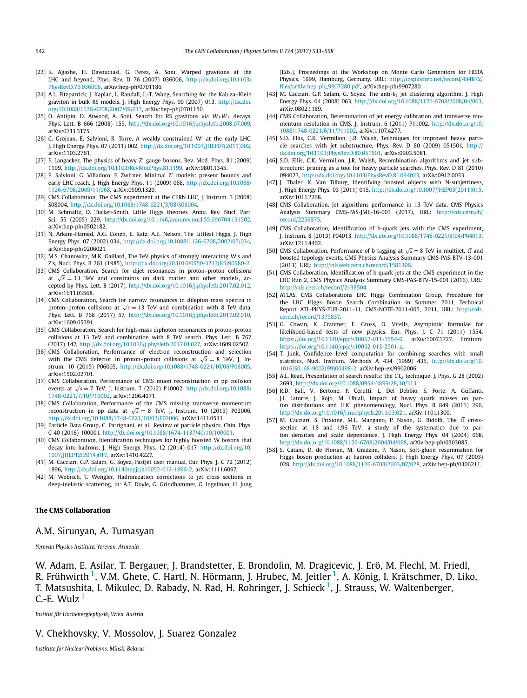- <span id="page-9-0"></span>[23] K. Agashe, H. Davoudiasl, G. Perez, A. Soni, Warped gravitons at the LHC and beyond, Phys. Rev. D 76 (2007) 036006, [http://dx.doi.org/10.1103/](http://dx.doi.org/10.1103/PhysRevD.76.036006) [PhysRevD.76.036006,](http://dx.doi.org/10.1103/PhysRevD.76.036006) arXiv:hep-ph/0701186.
- [24] A.L. Fitzpatrick, J. Kaplan, L. Randall, L.-T. Wang, Searching for the Kaluza–Klein graviton in bulk RS models, J. High Energy Phys. 09 (2007) 013, [http://dx.doi.](http://dx.doi.org/10.1088/1126-6708/2007/09/013) [org/10.1088/1126-6708/2007/09/013](http://dx.doi.org/10.1088/1126-6708/2007/09/013), arXiv:hep-ph/0701150.
- [25] O. Antipin, D. Atwood, A. Soni, Search for RS gravitons via  $W_LW_L$  decays, Phys. Lett. B 666 (2008) 155, <http://dx.doi.org/10.1016/j.physletb.2008.07.009>, arXiv:0711.3175.
- [26] C. Grojean, E. Salvioni, R. Torre, A weakly constrained W' at the early LHC, J. High Energy Phys. 07 (2011) 002, [http://dx.doi.org/10.1007/JHEP07\(2011\)002](http://dx.doi.org/10.1007/JHEP07(2011)002), arXiv:1103.2761.
- [27] P. Langacker, The physics of heavy Z' gauge bosons, Rev. Mod. Phys. 81 (2009) 1199, <http://dx.doi.org/10.1103/RevModPhys.81.1199>, arXiv:0801.1345.
- [28] E. Salvioni, G. Villadoro, F. Zwirner, Minimal Z' models: present bounds and early LHC reach, J. High Energy Phys. 11 (2009) 068, [http://dx.doi.org/10.1088/](http://dx.doi.org/10.1088/1126-6708/2009/11/068) [1126-6708/2009/11/068](http://dx.doi.org/10.1088/1126-6708/2009/11/068), arXiv:0909.1320.
- [29] CMS Collaboration, The CMS experiment at the CERN LHC, J. Instrum. 3 (2008) S08004, <http://dx.doi.org/10.1088/1748-0221/3/08/S08004>.
- [30] M. Schmaltz, D. Tucker-Smith, Little Higgs theories, Annu. Rev. Nucl. Part. Sci. 55 (2005) 229, <http://dx.doi.org/10.1146/annurev.nucl.55.090704.151502>, arXiv:hep-ph/0502182.
- [31] N. Arkani-Hamed, A.G. Cohen, E. Katz, A.E. Nelson, The Littlest Higgs, J. High Energy Phys. 07 (2002) 034, <http://dx.doi.org/10.1088/1126-6708/2002/07/034>, arXiv:hep-ph/0206021.
- [32] M.S. Chanowitz, M.K. Gaillard, The TeV physics of strongly interacting W's and Z's, Nucl. Phys. B 261 (1985), [http://dx.doi.org/10.1016/0550-3213\(85\)90580-2](http://dx.doi.org/10.1016/0550-3213(85)90580-2).
- [33] CMS Collaboration, Search for dijet resonances in proton-proton collisions at  $\sqrt{s}$  = 13 TeV and constraints on dark matter and other models, accepted by Phys. Lett. B (2017), <http://dx.doi.org/10.1016/j.physletb.2017.02.012>, arXiv:1611.03568.
- [34] CMS Collaboration, Search for narrow resonances in dilepton mass spectra in proton–proton collisions at  $\sqrt{s} = 13$  TeV and combination with 8 TeV data, Phys. Lett. B 768 (2017) 57, <http://dx.doi.org/10.1016/j.physletb.2017.02.010>, arXiv:1609.05391.
- [35] CMS Collaboration, Search for high-mass diphoton resonances in proton-proton collisions at 13 TeV and combination with 8 TeV search, Phys. Lett. B 767 (2017) 147, <http://dx.doi.org/10.1016/j.physletb.2017.01.027>, arXiv:1609.02507.
- [36] CMS Collaboration, Performance of electron reconstruction and selection with the CMS detector in proton–proton collisions at  $\sqrt{s} = 8$  TeV, J. Instrum. 10 (2015) P06005, <http://dx.doi.org/10.1088/1748-0221/10/06/P06005>, arXiv:1502.02701.
- [37] CMS Collaboration, Performance of CMS muon reconstruction in pp collision events at <sup>√</sup>*<sup>s</sup>* <sup>=</sup> 7 TeV, J. Instrum. <sup>7</sup> (2012) P10002, [http://dx.doi.org/10.1088/](http://dx.doi.org/10.1088/1748-0221/7/10/P10002) [1748-0221/7/10/P10002](http://dx.doi.org/10.1088/1748-0221/7/10/P10002), arXiv:1206.4071.
- [38] CMS Collaboration, Performance of the CMS missing transverse momentum reconstruction in pp data at  $\sqrt{s} = 8$  TeV, J. Instrum. 10 (2015) P02006, [http://dx.doi.org/10.1088/1748-0221/10/02/P02006,](http://dx.doi.org/10.1088/1748-0221/10/02/P02006) arXiv:1411.0511.
- [39] Particle Data Group, C. Patrignani, et al., Review of particle physics, Chin. Phys. C 40 (2016) 100001, [http://dx.doi.org/10.1088/1674-1137/40/10/100001.](http://dx.doi.org/10.1088/1674-1137/40/10/100001)
- [40] CMS Collaboration, Identification techniques for highly boosted W bosons that decay into hadrons, J. High Energy Phys. 12 (2014) 017, [http://dx.doi.org/10.](http://dx.doi.org/10.1007/JHEP12(2014)017) [1007/JHEP12\(2014\)017](http://dx.doi.org/10.1007/JHEP12(2014)017), arXiv:1410.4227.
- [41] M. Cacciari, G.P. Salam, G. Soyez, FastJet user manual, Eur. Phys. J. C 72 (2012) 1896, [http://dx.doi.org/10.1140/epjc/s10052-012-1896-2,](http://dx.doi.org/10.1140/epjc/s10052-012-1896-2) arXiv:1111.6097.
- [42] M. Wobisch, T. Wengler, Hadronization corrections to jet cross sections in deep-inelastic scattering, in: A.T. Doyle, G. Grindhammer, G. Ingelman, H. Jung

#### **The CMS Collaboration**

#### A.M. Sirunyan, A. Tumasyan

*Yerevan Physics Institute, Yerevan, Armenia*

(Eds.), Proceedings of the Workshop on Monte Carlo Generators for HERA Physics, 1999, Hamburg, Germany. URL: [http://inspirehep.net/record/484872/](http://inspirehep.net/record/484872/files/arXiv:hep-ph_9907280.pdf) [files/arXiv:hep-ph\\_9907280.pdf,](http://inspirehep.net/record/484872/files/arXiv:hep-ph_9907280.pdf) arXiv:hep-ph/9907280.

- [43] M. Cacciari, G.P. Salam, G. Soyez, The anti- $k_t$  jet clustering algorithm, J. High Energy Phys. 04 (2008) 063, <http://dx.doi.org/10.1088/1126-6708/2008/04/063>, arXiv:0802.1189.
- [44] CMS Collaboration, Determination of jet energy calibration and transverse momentum resolution in CMS, J. Instrum. 6 (2011) P11002, [http://dx.doi.org/10.](http://dx.doi.org/10.1088/1748-0221/6/11/P11002) [1088/1748-0221/6/11/P11002](http://dx.doi.org/10.1088/1748-0221/6/11/P11002), arXiv:1107.4277.
- [45] S.D. Ellis, C.K. Vermilion, J.R. Walsh, Techniques for improved heavy particle searches with jet substructure, Phys. Rev. D 80 (2009) 051501, [http://](http://dx.doi.org/10.1103/PhysRevD.80.051501) [dx.doi.org/10.1103/PhysRevD.80.051501](http://dx.doi.org/10.1103/PhysRevD.80.051501), arXiv:0903.5081.
- [46] S.D. Ellis, C.K. Vermilion, J.R. Walsh, Recombination algorithms and jet substructure: pruning as a tool for heavy particle searches, Phys. Rev. D 81 (2010) 094023, [http://dx.doi.org/10.1103/PhysRevD.81.094023,](http://dx.doi.org/10.1103/PhysRevD.81.094023) arXiv:0912.0033.
- [47] J. Thaler, K. Van Tilburg, Identifying boosted objects with N-subjettiness, J. High Energy Phys. 03 (2011) 015, [http://dx.doi.org/10.1007/JHEP03\(2011\)015](http://dx.doi.org/10.1007/JHEP03(2011)015), arXiv:1011.2268.
- [48] CMS Collaboration, Jet algorithms performance in 13 TeV data, CMS Physics Analysis Summary CMS-PAS-JME-16-003 (2017), URL: [http://cds.cern.ch/](http://cds.cern.ch/record/2256875) [record/2256875](http://cds.cern.ch/record/2256875).
- [49] CMS Collaboration, Identification of b-quark jets with the CMS experiment, J. Instrum. 8 (2013) P04013, <http://dx.doi.org/10.1088/1748-0221/8/04/P04013>, arXiv:1211.4462.
- [50] CMS Collaboration, Performance of <sup>b</sup> tagging at <sup>√</sup>*<sup>s</sup>* <sup>=</sup> 8 TeV in multijet, tt and boosted topology events, CMS Physics Analysis Summary CMS-PAS-BTV-13-001 (2013), URL: [http://cdsweb.cern.ch/record/1581306.](http://cdsweb.cern.ch/record/1581306)
- [51] CMS Collaboration, Identification of b quark jets at the CMS experiment in the LHC Run 2, CMS Physics Analysis Summary CMS-PAS-BTV-15-001 (2016), URL: <http://cds.cern.ch/record/2138504>.
- [52] ATLAS, CMS Collaborations LHC Higgs Combination Group, Procedure for the LHC Higgs Boson Search Combination in Summer 2011, Technical Report ATL-PHYS-PUB-2011-11, CMS-NOTE-2011-005, 2011, URL: [http://cds.](http://cds.cern.ch/record/1379837) [cern.ch/record/1379837.](http://cds.cern.ch/record/1379837)
- [53] G. Cowan, K. Cranmer, E. Gross, O. Vitells, Asymptotic formulae for likelihood-based tests of new physics, Eur. Phys. J. C 71 (2011) 1554, [https://doi.org/10.1140/epjc/s10052-011-1554-0](http://dx.doi.org/10.1140/epjc/s10052-011-1554-0), arXiv:1007.1727, Erratum: [https://doi.org/10.1140/epjc/s10052-013-2501-z.](https://doi.org/10.1140/epjc/s10052-013-2501-z)
- [54] T. Junk, Confidence level computation for combining searches with small statistics, Nucl. Instrum. Methods A 434 (1999) 435, [http://dx.doi.org/10.](http://dx.doi.org/10.1016/S0168-9002(99)00498-2) [1016/S0168-9002\(99\)00498-2,](http://dx.doi.org/10.1016/S0168-9002(99)00498-2) arXiv:hep-ex/9902006.
- [55] A.L. Read, Presentation of search results: the  $CL<sub>s</sub>$  technique, J. Phys. G 28 (2002) 2693, <http://dx.doi.org/10.1088/0954-3899/28/10/313>.
- [56] R.D. Ball, V. Bertone, F. Cerutti, L. Del Debbio, S. Forte, A. Guffanti, J.I. Latorre, J. Rojo, M. Ubiali, Impact of heavy quark masses on parton distributions and LHC phenomenology, Nucl. Phys. B 849 (2011) 296, [http://dx.doi.org/10.1016/j.nuclphysb.2011.03.021,](http://dx.doi.org/10.1016/j.nuclphysb.2011.03.021) arXiv:1101.1300.
- [57] M. Cacciari, S. Frixione, M.L. Mangano, P. Nason, G. Ridolfi, The tt crosssection at 1.8 and 1.96 TeV: a study of the systematics due to parton densities and scale dependence, J. High Energy Phys. 04 (2004) 068, <http://dx.doi.org/10.1088/1126-6708/2004/04/068>, arXiv:hep-ph/0303085.
- [58] S. Catani, D. de Florian, M. Grazzini, P. Nason, Soft-gluon resummation for Higgs boson production at hadron colliders, J. High Energy Phys. 07 (2003) 028, <http://dx.doi.org/10.1088/1126-6708/2003/07/028>, arXiv:hep-ph/0306211.

W. Adam, E. Asilar, T. Bergauer, J. Brandstetter, E. Brondolin, M. Dragicevic, J. Erö, M. Flechl, M. Friedl, R. Frühwirth<sup>1</sup>, V.M. Ghete, C. Hartl, N. Hörmann, J. Hrubec, M. Jeitler<sup>1</sup>, A. König, I. Krätschmer, D. Liko, T. Matsushita, I. Mikulec, D. Rabady, N. Rad, H. Rohringer, J. Schieck<sup>1</sup>, J. Strauss, W. Waltenberger, C.-E. Wulz $<sup>1</sup>$  $<sup>1</sup>$  $<sup>1</sup>$ </sup>

*Institut für Hochenergiephysik, Wien, Austria*

V. Chekhovsky, V. Mossolov, J. Suarez Gonzalez

*Institute for Nuclear Problems, Minsk, Belarus*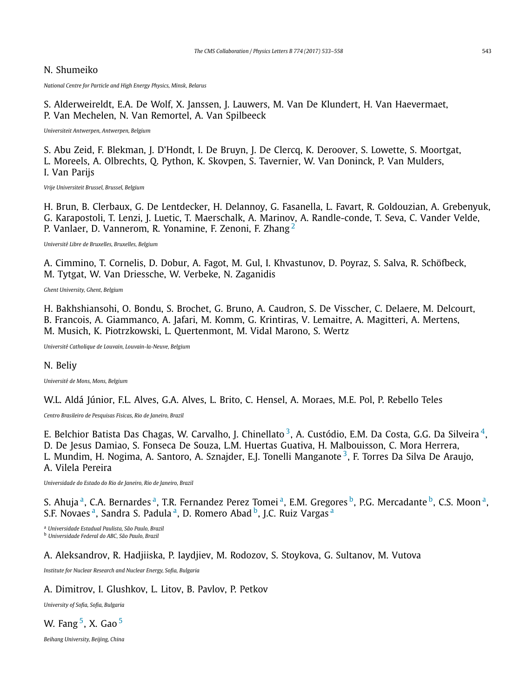### N. Shumeiko

*National Centre for Particle and High Energy Physics, Minsk, Belarus*

S. Alderweireldt, E.A. De Wolf, X. Janssen, J. Lauwers, M. Van De Klundert, H. Van Haevermaet, P. Van Mechelen, N. Van Remortel, A. Van Spilbeeck

*Universiteit Antwerpen, Antwerpen, Belgium*

S. Abu Zeid, F. Blekman, J. D'Hondt, I. De Bruyn, J. De Clercq, K. Deroover, S. Lowette, S. Moortgat, L. Moreels, A. Olbrechts, Q. Python, K. Skovpen, S. Tavernier, W. Van Doninck, P. Van Mulders, I. Van Parijs

*Vrije Universiteit Brussel, Brussel, Belgium*

H. Brun, B. Clerbaux, G. De Lentdecker, H. Delannoy, G. Fasanella, L. Favart, R. Goldouzian, A. Grebenyuk, G. Karapostoli, T. Lenzi, J. Luetic, T. Maerschalk, A. Marinov, A. Randle-conde, T. Seva, C. Vander Velde, P. Vanlaer, D. Vannerom, R. Yonamine, F. Zenoni, F. Zhang  $2^2$  $2^2$ 

*Université Libre de Bruxelles, Bruxelles, Belgium*

A. Cimmino, T. Cornelis, D. Dobur, A. Fagot, M. Gul, I. Khvastunov, D. Poyraz, S. Salva, R. Schöfbeck, M. Tytgat, W. Van Driessche, W. Verbeke, N. Zaganidis

*Ghent University, Ghent, Belgium*

H. Bakhshiansohi, O. Bondu, S. Brochet, G. Bruno, A. Caudron, S. De Visscher, C. Delaere, M. Delcourt, B. Francois, A. Giammanco, A. Jafari, M. Komm, G. Krintiras, V. Lemaitre, A. Magitteri, A. Mertens, M. Musich, K. Piotrzkowski, L. Quertenmont, M. Vidal Marono, S. Wertz

*Université Catholique de Louvain, Louvain-la-Neuve, Belgium*

N. Beliy

*Université de Mons, Mons, Belgium*

W.L. Aldá Júnior, F.L. Alves, G.A. Alves, L. Brito, C. Hensel, A. Moraes, M.E. Pol, P. Rebello Teles

*Centro Brasileiro de Pesquisas Fisicas, Rio de Janeiro, Brazil*

E. Belchior Batista Das Chagas, W. Carvalho, J. Chinellato<sup>[3](#page-24-0)</sup>, A. Custódio, E.M. Da Costa, G.G. Da Silveira<sup>4</sup>, D. De Jesus Damiao, S. Fonseca De Souza, L.M. Huertas Guativa, H. Malbouisson, C. Mora Herrera, L. Mundim, H. Nogima, A. Santoro, A. Sznajder, E.J. Tonelli Manganote<sup>3</sup>, F. Torres Da Silva De Araujo, A. Vilela Pereira

*Universidade do Estado do Rio de Janeiro, Rio de Janeiro, Brazil*

S. Ahuja<sup>a</sup>, C.A. Bernardes<sup>a</sup>, T.R. Fernandez Perez Tomei<sup>a</sup>, E.M. Gregores<sup>b</sup>, P.G. Mercadante<sup>b</sup>, C.S. Moon<sup>a</sup>, S.F. Novaes<sup>a</sup>, Sandra S. Padula<sup>a</sup>, D. Romero Abad <sup>b</sup>, J.C. Ruiz Vargas <sup>a</sup>

<sup>a</sup> *Universidade Estadual Paulista, São Paulo, Brazil* <sup>b</sup> *Universidade Federal do ABC, São Paulo, Brazil*

A. Aleksandrov, R. Hadjiiska, P. Iaydjiev, M. Rodozov, S. Stoykova, G. Sultanov, M. Vutova

*Institute for Nuclear Research and Nuclear Energy, Sofia, Bulgaria*

A. Dimitrov, I. Glushkov, L. Litov, B. Pavlov, P. Petkov

*University of Sofia, Sofia, Bulgaria*

W. Fang  $5$ , X. Gao  $5$ 

*Beihang University, Beijing, China*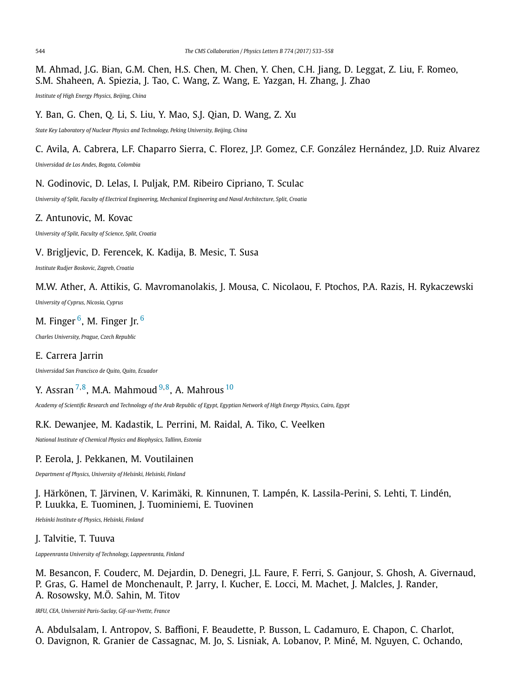M. Ahmad, J.G. Bian, G.M. Chen, H.S. Chen, M. Chen, Y. Chen, C.H. Jiang, D. Leggat, Z. Liu, F. Romeo, S.M. Shaheen, A. Spiezia, J. Tao, C. Wang, Z. Wang, E. Yazgan, H. Zhang, J. Zhao

*Institute of High Energy Physics, Beijing, China*

### Y. Ban, G. Chen, Q. Li, S. Liu, Y. Mao, S.J. Qian, D. Wang, Z. Xu

*State Key Laboratory of Nuclear Physics and Technology, Peking University, Beijing, China*

### C. Avila, A. Cabrera, L.F. Chaparro Sierra, C. Florez, J.P. Gomez, C.F. González Hernández, J.D. Ruiz Alvarez

*Universidad de Los Andes, Bogota, Colombia*

### N. Godinovic, D. Lelas, I. Puljak, P.M. Ribeiro Cipriano, T. Sculac

*University of Split, Faculty of Electrical Engineering, Mechanical Engineering and Naval Architecture, Split, Croatia*

#### Z. Antunovic, M. Kovac

*University of Split, Faculty of Science, Split, Croatia*

#### V. Brigljevic, D. Ferencek, K. Kadija, B. Mesic, T. Susa

*Institute Rudjer Boskovic, Zagreb, Croatia*

# M.W. Ather, A. Attikis, G. Mavromanolakis, J. Mousa, C. Nicolaou, F. Ptochos, P.A. Razis, H. Rykaczewski

*University of Cyprus, Nicosia, Cyprus*

## M. Finger  $<sup>6</sup>$  $<sup>6</sup>$  $<sup>6</sup>$ , M. Finger Jr.  $<sup>6</sup>$ </sup></sup>

*Charles University, Prague, Czech Republic*

### E. Carrera Jarrin

*Universidad San Francisco de Quito, Quito, Ecuador*

## Y. Assran [7](#page-24-0)*,*[8,](#page-24-0) M.A. Mahmoud [9](#page-24-0)*,*[8,](#page-24-0) A. Mahrous [10](#page-24-0)

Academy of Scientific Research and Technology of the Arab Republic of Egypt, Egyptian Network of High Energy Physics, Cairo, Egypt

### R.K. Dewanjee, M. Kadastik, L. Perrini, M. Raidal, A. Tiko, C. Veelken

*National Institute of Chemical Physics and Biophysics, Tallinn, Estonia*

#### P. Eerola, J. Pekkanen, M. Voutilainen

*Department of Physics, University of Helsinki, Helsinki, Finland*

## J. Härkönen, T. Järvinen, V. Karimäki, R. Kinnunen, T. Lampén, K. Lassila-Perini, S. Lehti, T. Lindén, P. Luukka, E. Tuominen, J. Tuominiemi, E. Tuovinen

*Helsinki Institute of Physics, Helsinki, Finland*

### J. Talvitie, T. Tuuva

*Lappeenranta University of Technology, Lappeenranta, Finland*

M. Besancon, F. Couderc, M. Dejardin, D. Denegri, J.L. Faure, F. Ferri, S. Ganjour, S. Ghosh, A. Givernaud, P. Gras, G. Hamel de Monchenault, P. Jarry, I. Kucher, E. Locci, M. Machet, J. Malcles, J. Rander, A. Rosowsky, M.Ö. Sahin, M. Titov

*IRFU, CEA, Université Paris-Saclay, Gif-sur-Yvette, France*

A. Abdulsalam, I. Antropov, S. Baffioni, F. Beaudette, P. Busson, L. Cadamuro, E. Chapon, C. Charlot, O. Davignon, R. Granier de Cassagnac, M. Jo, S. Lisniak, A. Lobanov, P. Miné, M. Nguyen, C. Ochando,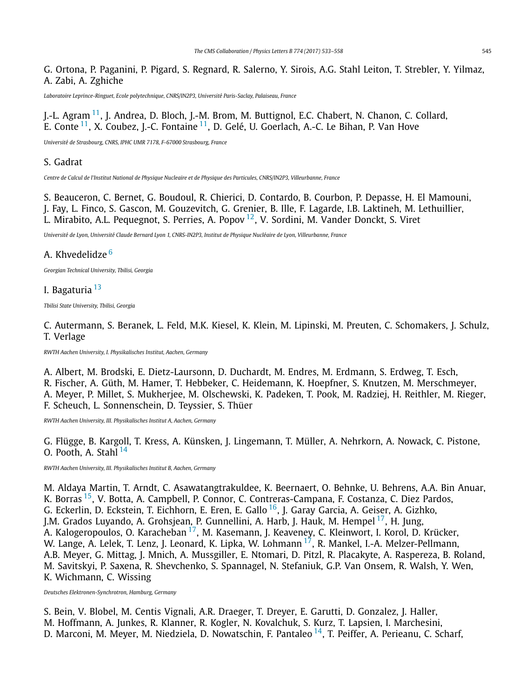G. Ortona, P. Paganini, P. Pigard, S. Regnard, R. Salerno, Y. Sirois, A.G. Stahl Leiton, T. Strebler, Y. Yilmaz, A. Zabi, A. Zghiche

*Laboratoire Leprince-Ringuet, Ecole polytechnique, CNRS/IN2P3, Université Paris-Saclay, Palaiseau, France*

J.-L. Agram [11,](#page-24-0) J. Andrea, D. Bloch, J.-M. Brom, M. Buttignol, E.C. Chabert, N. Chanon, C. Collard, E. Conte [11,](#page-24-0) X. Coubez, J.-C. Fontaine [11](#page-24-0), D. Gelé, U. Goerlach, A.-C. Le Bihan, P. Van Hove

*Université de Strasbourg, CNRS, IPHC UMR 7178, F-67000 Strasbourg, France*

### S. Gadrat

Centre de Calcul de l'Institut National de Physique Nucleaire et de Physique des Particules, CNRS/IN2P3, Villeurbanne, France

S. Beauceron, C. Bernet, G. Boudoul, R. Chierici, D. Contardo, B. Courbon, P. Depasse, H. El Mamouni, J. Fay, L. Finco, S. Gascon, M. Gouzevitch, G. Grenier, B. Ille, F. Lagarde, I.B. Laktineh, M. Lethuillier, L. Mirabito, A.L. Pequegnot, S. Perries, A. Popov [12,](#page-24-0) V. Sordini, M. Vander Donckt, S. Viret

Université de Lyon, Université Claude Bernard Lyon 1, CNRS-IN2P3, Institut de Physique Nucléaire de Lyon, Villeurbanne, France

## A. Khvedelidze<sup>[6](#page-24-0)</sup>

*Georgian Technical University, Tbilisi, Georgia*

## I. Bagaturia [13](#page-24-0)

*Tbilisi State University, Tbilisi, Georgia*

C. Autermann, S. Beranek, L. Feld, M.K. Kiesel, K. Klein, M. Lipinski, M. Preuten, C. Schomakers, J. Schulz, T. Verlage

*RWTH Aachen University, I. Physikalisches Institut, Aachen, Germany*

A. Albert, M. Brodski, E. Dietz-Laursonn, D. Duchardt, M. Endres, M. Erdmann, S. Erdweg, T. Esch, R. Fischer, A. Güth, M. Hamer, T. Hebbeker, C. Heidemann, K. Hoepfner, S. Knutzen, M. Merschmeyer, A. Meyer, P. Millet, S. Mukherjee, M. Olschewski, K. Padeken, T. Pook, M. Radziej, H. Reithler, M. Rieger, F. Scheuch, L. Sonnenschein, D. Teyssier, S. Thüer

*RWTH Aachen University, III. Physikalisches Institut A, Aachen, Germany*

G. Flügge, B. Kargoll, T. Kress, A. Künsken, J. Lingemann, T. Müller, A. Nehrkorn, A. Nowack, C. Pistone, O. Pooth, A. Stahl<sup>[14](#page-24-0)</sup>

*RWTH Aachen University, III. Physikalisches Institut B, Aachen, Germany*

M. Aldaya Martin, T. Arndt, C. Asawatangtrakuldee, K. Beernaert, O. Behnke, U. Behrens, A.A. Bin Anuar, K. Borras <sup>15</sup>, V. Botta, A. Campbell, P. Connor, C. Contreras-Campana, F. Costanza, C. Diez Pardos, G. Eckerlin, D. Eckstein, T. Eichhorn, E. Eren, E. Gallo [16,](#page-24-0) J. Garay Garcia, A. Geiser, A. Gizhko, J.M. Grados Luyando, A. Grohsjean, P. Gunnellini, A. Harb, J. Hauk, M. Hempel<sup>[17](#page-24-0)</sup>, H. Jung, A. Kalogeropoulos, O. Karacheban<sup>[17](#page-24-0)</sup>, M. Kasemann, J. Keaveney, C. Kleinwort, I. Korol, D. Krücker, W. Lange, A. Lelek, T. Lenz, J. Leonard, K. Lipka, W. Lohmann<sup>17</sup>, R. Mankel, I.-A. Melzer-Pellmann, A.B. Meyer, G. Mittag, J. Mnich, A. Mussgiller, E. Ntomari, D. Pitzl, R. Placakyte, A. Raspereza, B. Roland, M. Savitskyi, P. Saxena, R. Shevchenko, S. Spannagel, N. Stefaniuk, G.P. Van Onsem, R. Walsh, Y. Wen, K. Wichmann, C. Wissing

*Deutsches Elektronen-Synchrotron, Hamburg, Germany*

S. Bein, V. Blobel, M. Centis Vignali, A.R. Draeger, T. Dreyer, E. Garutti, D. Gonzalez, J. Haller, M. Hoffmann, A. Junkes, R. Klanner, R. Kogler, N. Kovalchuk, S. Kurz, T. Lapsien, I. Marchesini, D. Marconi, M. Meyer, M. Niedziela, D. Nowatschin, F. Pantaleo <sup>[14](#page-24-0)</sup>, T. Peiffer, A. Perieanu, C. Scharf,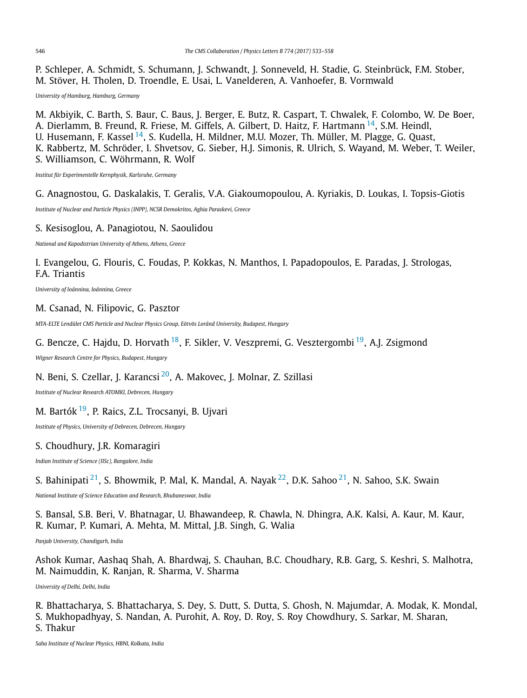P. Schleper, A. Schmidt, S. Schumann, J. Schwandt, J. Sonneveld, H. Stadie, G. Steinbrück, F.M. Stober, M. Stöver, H. Tholen, D. Troendle, E. Usai, L. Vanelderen, A. Vanhoefer, B. Vormwald

*University of Hamburg, Hamburg, Germany*

M. Akbiyik, C. Barth, S. Baur, C. Baus, J. Berger, E. Butz, R. Caspart, T. Chwalek, F. Colombo, W. De Boer, A. Dierlamm, B. Freund, R. Friese, M. Giffels, A. Gilbert, D. Haitz, F. Hartmann [14,](#page-24-0) S.M. Heindl, U. Husemann, F. Kassel [14,](#page-24-0) S. Kudella, H. Mildner, M.U. Mozer, Th. Müller, M. Plagge, G. Quast, K. Rabbertz, M. Schröder, I. Shvetsov, G. Sieber, H.J. Simonis, R. Ulrich, S. Wayand, M. Weber, T. Weiler, S. Williamson, C. Wöhrmann, R. Wolf

*Institut für Experimentelle Kernphysik, Karlsruhe, Germany*

G. Anagnostou, G. Daskalakis, T. Geralis, V.A. Giakoumopoulou, A. Kyriakis, D. Loukas, I. Topsis-Giotis

*Institute of Nuclear and Particle Physics (INPP), NCSR Demokritos, Aghia Paraskevi, Greece*

#### S. Kesisoglou, A. Panagiotou, N. Saoulidou

*National and Kapodistrian University of Athens, Athens, Greece*

### I. Evangelou, G. Flouris, C. Foudas, P. Kokkas, N. Manthos, I. Papadopoulos, E. Paradas, J. Strologas, F.A. Triantis

*University of Ioánnina, Ioánnina, Greece*

### M. Csanad, N. Filipovic, G. Pasztor

*MTA-ELTE Lendület CMS Particle and Nuclear Physics Group, Eötvös Loránd University, Budapest, Hungary*

## G. Bencze, C. Hajdu, D. Horvath [18,](#page-24-0) F. Sikler, V. Veszpremi, G. Vesztergombi [19,](#page-24-0) A.J. Zsigmond

*Wigner Research Centre for Physics, Budapest, Hungary*

## N. Beni, S. Czellar, J. Karancsi [20,](#page-24-0) A. Makovec, J. Molnar, Z. Szillasi

*Institute of Nuclear Research ATOMKI, Debrecen, Hungary*

## M. Bartók [19,](#page-24-0) P. Raics, Z.L. Trocsanyi, B. Ujvari

*Institute of Physics, University of Debrecen, Debrecen, Hungary*

### S. Choudhury, J.R. Komaragiri

*Indian Institute of Science (IISc), Bangalore, India*

S. Bahinipati  $^{21}$ , S. Bhowmik, P. Mal, K. Mandal, A. Nayak  $^{22}$ , D.K. Sahoo  $^{21}$ , N. Sahoo, S.K. Swain

*National Institute of Science Education and Research, Bhubaneswar, India*

S. Bansal, S.B. Beri, V. Bhatnagar, U. Bhawandeep, R. Chawla, N. Dhingra, A.K. Kalsi, A. Kaur, M. Kaur, R. Kumar, P. Kumari, A. Mehta, M. Mittal, J.B. Singh, G. Walia

*Panjab University, Chandigarh, India*

Ashok Kumar, Aashaq Shah, A. Bhardwaj, S. Chauhan, B.C. Choudhary, R.B. Garg, S. Keshri, S. Malhotra, M. Naimuddin, K. Ranjan, R. Sharma, V. Sharma

*University of Delhi, Delhi, India*

R. Bhattacharya, S. Bhattacharya, S. Dey, S. Dutt, S. Dutta, S. Ghosh, N. Majumdar, A. Modak, K. Mondal, S. Mukhopadhyay, S. Nandan, A. Purohit, A. Roy, D. Roy, S. Roy Chowdhury, S. Sarkar, M. Sharan, S. Thakur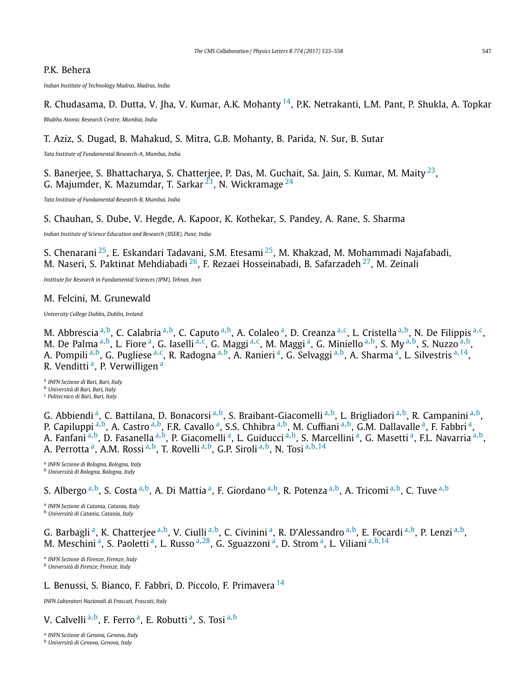### P.K. Behera

*Indian Institute of Technology Madras, Madras, India*

R. Chudasama, D. Dutta, V. Jha, V. Kumar, A.K. Mohanty <sup>14</sup>, P.K. Netrakanti, L.M. Pant, P. Shukla, A. Topkar

*Bhabha Atomic Research Centre, Mumbai, India*

#### T. Aziz, S. Dugad, B. Mahakud, S. Mitra, G.B. Mohanty, B. Parida, N. Sur, B. Sutar

*Tata Institute of Fundamental Research-A, Mumbai, India*

S. Banerjee, S. Bhattacharya, S. Chatterjee, P. Das, M. Guchait, Sa. Jain, S. Kumar, M. Maity [23,](#page-24-0) G. Majumder, K. Mazumdar, T. Sarkar  $^{23}$ , N. Wickramage  $^{24}$  $^{24}$  $^{24}$ 

*Tata Institute of Fundamental Research-B, Mumbai, India*

### S. Chauhan, S. Dube, V. Hegde, A. Kapoor, K. Kothekar, S. Pandey, A. Rane, S. Sharma

*Indian Institute of Science Education and Research (IISER), Pune, India*

S. Chenarani [25,](#page-24-0) E. Eskandari Tadavani, S.M. Etesami [25,](#page-24-0) M. Khakzad, M. Mohammadi Najafabadi, M. Naseri, S. Paktinat Mehdiabadi  $^{26}$ , F. Rezaei Hosseinabadi, B. Safarzadeh  $^{27}$ , M. Zeinali

*Institute for Research in Fundamental Sciences (IPM), Tehran, Iran*

#### M. Felcini, M. Grunewald

*University College Dublin, Dublin, Ireland*

M. Abbrescia <sup>a</sup>*,*b, C. Calabria <sup>a</sup>*,*b, C. Caputo <sup>a</sup>*,*b, A. Colaleo a, D. Creanza <sup>a</sup>*,*c, L. Cristella <sup>a</sup>*,*b, N. De Filippis <sup>a</sup>*,*c, M. De Palma <sup>a</sup>*,*b, L. Fiore a, G. Iaselli <sup>a</sup>*,*c, G. Maggi <sup>a</sup>*,*c, M. Maggi a, G. Miniello <sup>a</sup>*,*b, S. My <sup>a</sup>*,*b, S. Nuzzo <sup>a</sup>*,*b, A. Pompili <sup>a</sup>*,*b, G. Pugliese <sup>a</sup>*,*c, R. Radogna <sup>a</sup>*,*b, A. Ranieri a, G. Selvaggi <sup>a</sup>*,*b, A. Sharma a, L. Silvestris <sup>a</sup>*,*[14,](#page-24-0) R. Venditti<sup>a</sup>, P. Verwilligen<sup>a</sup>

<sup>a</sup> *INFN Sezione di Bari, Bari, Italy* <sup>b</sup> *Università di Bari, Bari, Italy*

<sup>c</sup> *Politecnico di Bari, Bari, Italy*

G. Abbiendi a, C. Battilana, D. Bonacorsi <sup>a</sup>*,*b, S. Braibant-Giacomelli <sup>a</sup>*,*b, L. Brigliadori <sup>a</sup>*,*b, R. Campanini <sup>a</sup>*,*b, P. Capiluppi <sup>a</sup>*,*b, A. Castro <sup>a</sup>*,*b, F.R. Cavallo a, S.S. Chhibra <sup>a</sup>*,*b, M. Cuffiani <sup>a</sup>*,*b, G.M. Dallavalle a, F. Fabbri a, A. Fanfani <sup>a</sup>*,*b, D. Fasanella <sup>a</sup>*,*b, P. Giacomelli a, L. Guiducci <sup>a</sup>*,*b, S. Marcellini a, G. Masetti a, F.L. Navarria <sup>a</sup>*,*b, A. Perrotta a, A.M. Rossi <sup>a</sup>*,*b, T. Rovelli <sup>a</sup>*,*b, G.P. Siroli <sup>a</sup>*,*b, N. Tosi <sup>a</sup>*,*b*,*[14](#page-24-0)

<sup>a</sup> *INFN Sezione di Bologna, Bologna, Italy* <sup>b</sup> *Università di Bologna, Bologna, Italy*

S. Albergo <sup>a</sup>*,*b, S. Costa <sup>a</sup>*,*b, A. Di Mattia a, F. Giordano <sup>a</sup>*,*b, R. Potenza <sup>a</sup>*,*b, A. Tricomi <sup>a</sup>*,*b, C. Tuve <sup>a</sup>*,*<sup>b</sup>

<sup>a</sup> *INFN Sezione di Catania, Catania, Italy* <sup>b</sup> *Università di Catania, Catania, Italy*

G. Barbagli a, K. Chatterjee <sup>a</sup>*,*b, V. Ciulli <sup>a</sup>*,*b, C. Civinini a, R. D'Alessandro <sup>a</sup>*,*b, E. Focardi <sup>a</sup>*,*b, P. Lenzi <sup>a</sup>*,*b, M. Meschini a, S. Paoletti a, L. Russo <sup>a</sup>*,*[28,](#page-24-0) G. Sguazzoni a, D. Strom a, L. Viliani <sup>a</sup>*,*b*,*[14](#page-24-0)

<sup>a</sup> *INFN Sezione di Firenze, Firenze, Italy* <sup>b</sup> *Università di Firenze, Firenze, Italy*

L. Benussi, S. Bianco, F. Fabbri, D. Piccolo, F. Primavera [14](#page-24-0)

*INFN Laboratori Nazionali di Frascati, Frascati, Italy*

## V. Calvelli<sup>a, b</sup>, F. Ferro<sup>a</sup>, E. Robutti<sup>a</sup>, S. Tosi<sup>a, b</sup>

<sup>a</sup> *INFN Sezione di Genova, Genova, Italy*

<sup>b</sup> *Università di Genova, Genova, Italy*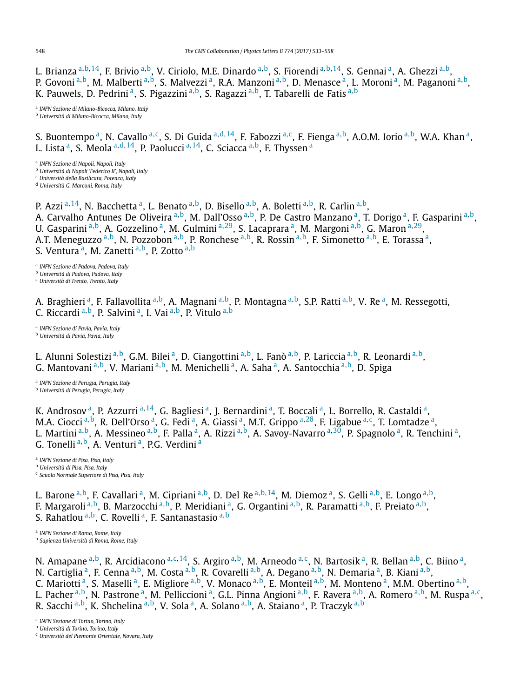L. Brianza <sup>a</sup>*,*b*,*[14,](#page-24-0) F. Brivio <sup>a</sup>*,*b, V. Ciriolo, M.E. Dinardo <sup>a</sup>*,*b, S. Fiorendi <sup>a</sup>*,*b*,*[14](#page-24-0), S. Gennai a, A. Ghezzi <sup>a</sup>*,*b, P. Govoni <sup>a</sup>*,*b, M. Malberti <sup>a</sup>*,*b, S. Malvezzi a, R.A. Manzoni <sup>a</sup>*,*b, D. Menasce a, L. Moroni a, M. Paganoni <sup>a</sup>*,*b, K. Pauwels, D. Pedrini a, S. Pigazzini <sup>a</sup>*,*b, S. Ragazzi <sup>a</sup>*,*b, T. Tabarelli de Fatis <sup>a</sup>*,*<sup>b</sup>

<sup>a</sup> *INFN Sezione di Milano-Bicocca, Milano, Italy* <sup>b</sup> *Università di Milano-Bicocca, Milano, Italy*

S. Buontempo a, N. Cavallo <sup>a</sup>*,*c, S. Di Guida <sup>a</sup>*,*d*,*[14,](#page-24-0) F. Fabozzi <sup>a</sup>*,*c, F. Fienga <sup>a</sup>*,*b, A.O.M. Iorio <sup>a</sup>*,*b, W.A. Khan a, L. Lista a, S. Meola <sup>a</sup>*,*d*,*[14,](#page-24-0) P. Paolucci <sup>a</sup>*,*[14,](#page-24-0) C. Sciacca <sup>a</sup>*,*b, F. Thyssen <sup>a</sup>

<sup>a</sup> *INFN Sezione di Napoli, Napoli, Italy*

<sup>b</sup> *Università di Napoli 'Federico II', Napoli, Italy*

<sup>c</sup> *Università della Basilicata, Potenza, Italy* <sup>d</sup> *Università G. Marconi, Roma, Italy*

P. Azzi <sup>a</sup>*,*[14,](#page-24-0) N. Bacchetta a, L. Benato <sup>a</sup>*,*b, D. Bisello <sup>a</sup>*,*b, A. Boletti <sup>a</sup>*,*b, R. Carlin <sup>a</sup>*,*b, A. Carvalho Antunes De Oliveira a,b, M. Dall'Osso a,b, P. De Castro Manzano a, T. Dorigo a, F. Gasparini a,b, U. Gasparini <sup>a</sup>*,*b, A. Gozzelino a, M. Gulmini <sup>a</sup>*,*[29,](#page-24-0) S. Lacaprara a, M. Margoni <sup>a</sup>*,*b, G. Maron <sup>a</sup>*,*[29,](#page-24-0) A.T. Meneguzzo <sup>a</sup>*,*b, N. Pozzobon <sup>a</sup>*,*b, P. Ronchese <sup>a</sup>*,*b, R. Rossin <sup>a</sup>*,*b, F. Simonetto <sup>a</sup>*,*b, E. Torassa a, S. Ventura a, M. Zanetti <sup>a</sup>*,*b, P. Zotto <sup>a</sup>*,*<sup>b</sup>

<sup>a</sup> *INFN Sezione di Padova, Padova, Italy*

<sup>b</sup> *Università di Padova, Padova, Italy*

<sup>c</sup> *Università di Trento, Trento, Italy*

A. Braghieri<sup>a</sup>, F. Fallavollita<sup>a,b</sup>, A. Magnani<sup>a,b</sup>, P. Montagna<sup>a,b</sup>, S.P. Ratti<sup>a,b</sup>, V. Re<sup>a</sup>, M. Ressegotti, C. Riccardi <sup>a</sup>*,*b, P. Salvini a, I. Vai <sup>a</sup>*,*b, P. Vitulo <sup>a</sup>*,*<sup>b</sup>

<sup>a</sup> *INFN Sezione di Pavia, Pavia, Italy* <sup>b</sup> *Università di Pavia, Pavia, Italy*

L. Alunni Solestizi <sup>a</sup>*,*b, G.M. Bilei a, D. Ciangottini <sup>a</sup>*,*b, L. Fanò <sup>a</sup>*,*b, P. Lariccia <sup>a</sup>*,*b, R. Leonardi <sup>a</sup>*,*b, G. Mantovani <sup>a</sup>*,*b, V. Mariani <sup>a</sup>*,*b, M. Menichelli a, A. Saha a, A. Santocchia <sup>a</sup>*,*b, D. Spiga

<sup>a</sup> *INFN Sezione di Perugia, Perugia, Italy*

<sup>b</sup> *Università di Perugia, Perugia, Italy*

K. Androsov<sup>a</sup>, P. Azzurri<sup>a, 14</sup>, G. Bagliesi<sup>a</sup>, J. Bernardini<sup>a</sup>, T. Boccali<sup>a</sup>, L. Borrello, R. Castaldi<sup>a</sup>, M.A. Ciocci a, b, R. Dell'Orso a, G. Fedi a, A. Giassi a, M.T. Grippo a, [28,](#page-24-0) F. Ligabue a, c, T. Lomtadze a, L. Martini<sup>a,b</sup>, A. Messineo a,b, F. Palla a, A. Rizzi a,b, A. Savoy-Navarro a, [30,](#page-24-0) P. Spagnolo a, R. Tenchini a, G. Tonelli a, b, A. Venturi<sup>a</sup>, P.G. Verdini<sup>a</sup>

<sup>a</sup> *INFN Sezione di Pisa, Pisa, Italy* <sup>b</sup> *Università di Pisa, Pisa, Italy* <sup>c</sup> *Scuola Normale Superiore di Pisa, Pisa, Italy*

L. Barone a,b, F. Cavallari<sup>a</sup>, M. Cipriani<sup>a,b</sup>, D. Del Re a,b, [14,](#page-24-0) M. Diemoz<sup>a</sup>, S. Gelli<sup>a,b</sup>, E. Longo a,b, F. Margaroli <sup>a</sup>*,*b, B. Marzocchi <sup>a</sup>*,*b, P. Meridiani a, G. Organtini <sup>a</sup>*,*b, R. Paramatti <sup>a</sup>*,*b, F. Preiato <sup>a</sup>*,*b, S. Rahatlou <sup>a</sup>*,*b, C. Rovelli a, F. Santanastasio <sup>a</sup>*,*<sup>b</sup>

<sup>a</sup> *INFN Sezione di Roma, Rome, Italy*

<sup>b</sup> *Sapienza Università di Roma, Rome, Italy*

N. Amapane <sup>a</sup>*,*b, R. Arcidiacono <sup>a</sup>*,*c*,*[14,](#page-24-0) S. Argiro <sup>a</sup>*,*b, M. Arneodo <sup>a</sup>*,*c, N. Bartosik a, R. Bellan <sup>a</sup>*,*b, C. Biino a, N. Cartiglia a, F. Cenna <sup>a</sup>*,*b, M. Costa <sup>a</sup>*,*b, R. Covarelli <sup>a</sup>*,*b, A. Degano <sup>a</sup>*,*b, N. Demaria a, B. Kiani <sup>a</sup>*,*b, C. Mariotti<sup>a</sup>, S. Maselli<sup>a</sup>, E. Migliore<sup>a,b</sup>, V. Monaco<sup>a,b</sup>, E. Monteil<sup>a,b</sup>, M. Monteno<sup>a</sup>, M.M. Obertino<sup>a,b</sup>, L. Pacher <sup>a</sup>*,*b, N. Pastrone a, M. Pelliccioni a, G.L. Pinna Angioni <sup>a</sup>*,*b, F. Ravera <sup>a</sup>*,*b, A. Romero <sup>a</sup>*,*b, M. Ruspa <sup>a</sup>*,*c, R. Sacchi <sup>a</sup>*,*b, K. Shchelina <sup>a</sup>*,*b, V. Sola a, A. Solano <sup>a</sup>*,*b, A. Staiano a, P. Traczyk <sup>a</sup>*,*<sup>b</sup>

<sup>a</sup> *INFN Sezione di Torino, Torino, Italy*

<sup>b</sup> *Università di Torino, Torino, Italy*

<sup>c</sup> *Università del Piemonte Orientale, Novara, Italy*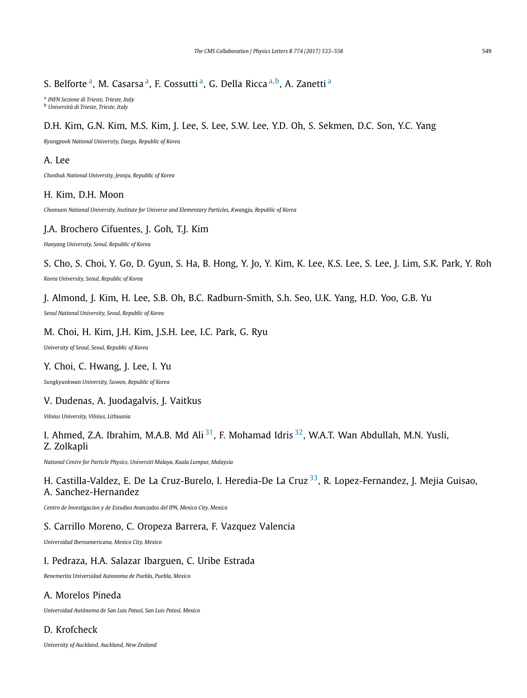## S. Belforte<sup>a</sup>, M. Casarsa<sup>a</sup>, F. Cossutti<sup>a</sup>, G. Della Ricca<sup>a,b</sup>, A. Zanetti<sup>a</sup>

<sup>a</sup> *INFN Sezione di Trieste, Trieste, Italy* <sup>b</sup> *Università di Trieste, Trieste, Italy*

## D.H. Kim, G.N. Kim, M.S. Kim, J. Lee, S. Lee, S.W. Lee, Y.D. Oh, S. Sekmen, D.C. Son, Y.C. Yang

*Kyungpook National University, Daegu, Republic of Korea*

### A. Lee

*Chonbuk National University, Jeonju, Republic of Korea*

## H. Kim, D.H. Moon

*Chonnam National University, Institute for Universe and Elementary Particles, Kwangju, Republic of Korea*

## J.A. Brochero Cifuentes, J. Goh, T.J. Kim

*Hanyang University, Seoul, Republic of Korea*

S. Cho, S. Choi, Y. Go, D. Gyun, S. Ha, B. Hong, Y. Jo, Y. Kim, K. Lee, K.S. Lee, S. Lee, J. Lim, S.K. Park, Y. Roh

*Korea University, Seoul, Republic of Korea*

## J. Almond, J. Kim, H. Lee, S.B. Oh, B.C. Radburn-Smith, S.h. Seo, U.K. Yang, H.D. Yoo, G.B. Yu

*Seoul National University, Seoul, Republic of Korea*

## M. Choi, H. Kim, J.H. Kim, J.S.H. Lee, I.C. Park, G. Ryu

*University of Seoul, Seoul, Republic of Korea*

## Y. Choi, C. Hwang, J. Lee, I. Yu

*Sungkyunkwan University, Suwon, Republic of Korea*

## V. Dudenas, A. Juodagalvis, J. Vaitkus

*Vilnius University, Vilnius, Lithuania*

## I. Ahmed, Z.A. Ibrahim, M.A.B. Md Ali  $31$ , F. Mohamad Idris  $32$ , W.A.T. Wan Abdullah, M.N. Yusli, Z. Zolkapli

*National Centre for Particle Physics, Universiti Malaya, Kuala Lumpur, Malaysia*

## H. Castilla-Valdez, E. De La Cruz-Burelo, I. Heredia-De La Cruz<sup>33</sup>, R. Lopez-Fernandez, J. Mejia Guisao, A. Sanchez-Hernandez

*Centro de Investigacion y de Estudios Avanzados del IPN, Mexico City, Mexico*

## S. Carrillo Moreno, C. Oropeza Barrera, F. Vazquez Valencia

*Universidad Iberoamericana, Mexico City, Mexico*

## I. Pedraza, H.A. Salazar Ibarguen, C. Uribe Estrada

*Benemerita Universidad Autonoma de Puebla, Puebla, Mexico*

## A. Morelos Pineda

*Universidad Autónoma de San Luis Potosí, San Luis Potosí, Mexico*

## D. Krofcheck

*University of Auckland, Auckland, New Zealand*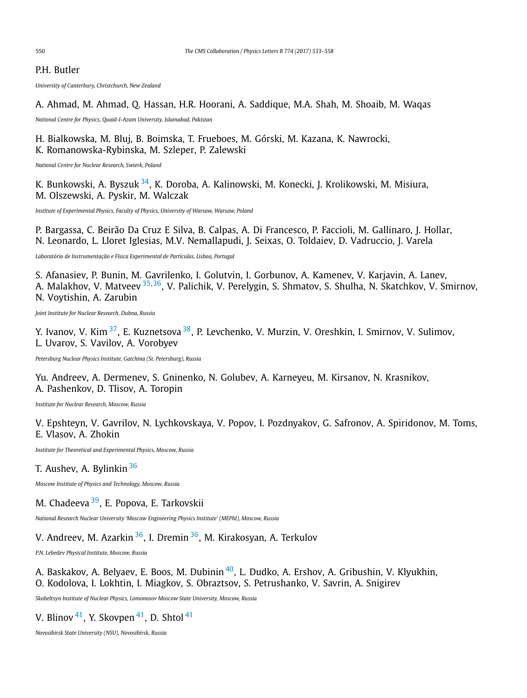### P.H. Butler

*University of Canterbury, Christchurch, New Zealand*

### A. Ahmad, M. Ahmad, Q. Hassan, H.R. Hoorani, A. Saddique, M.A. Shah, M. Shoaib, M. Waqas

*National Centre for Physics, Quaid-I-Azam University, Islamabad, Pakistan*

H. Bialkowska, M. Bluj, B. Boimska, T. Frueboes, M. Górski, M. Kazana, K. Nawrocki, K. Romanowska-Rybinska, M. Szleper, P. Zalewski

*National Centre for Nuclear Research, Swierk, Poland*

K. Bunkowski, A. Byszuk [34](#page-24-0), K. Doroba, A. Kalinowski, M. Konecki, J. Krolikowski, M. Misiura, M. Olszewski, A. Pyskir, M. Walczak

*Institute of Experimental Physics, Faculty of Physics, University of Warsaw, Warsaw, Poland*

P. Bargassa, C. Beirão Da Cruz E Silva, B. Calpas, A. Di Francesco, P. Faccioli, M. Gallinaro, J. Hollar, N. Leonardo, L. Lloret Iglesias, M.V. Nemallapudi, J. Seixas, O. Toldaiev, D. Vadruccio, J. Varela

*Laboratório de Instrumentação e Física Experimental de Partículas, Lisboa, Portugal*

S. Afanasiev, P. Bunin, M. Gavrilenko, I. Golutvin, I. Gorbunov, A. Kamenev, V. Karjavin, A. Lanev, A. Malakhov, V. Matveev [35](#page-24-0)*,*[36,](#page-24-0) V. Palichik, V. Perelygin, S. Shmatov, S. Shulha, N. Skatchkov, V. Smirnov, N. Voytishin, A. Zarubin

*Joint Institute for Nuclear Research, Dubna, Russia*

Y. Ivanov, V. Kim [37,](#page-24-0) E. Kuznetsova [38,](#page-24-0) P. Levchenko, V. Murzin, V. Oreshkin, I. Smirnov, V. Sulimov, L. Uvarov, S. Vavilov, A. Vorobyev

*Petersburg Nuclear Physics Institute, Gatchina (St. Petersburg), Russia*

Yu. Andreev, A. Dermenev, S. Gninenko, N. Golubev, A. Karneyeu, M. Kirsanov, N. Krasnikov, A. Pashenkov, D. Tlisov, A. Toropin

*Institute for Nuclear Research, Moscow, Russia*

V. Epshteyn, V. Gavrilov, N. Lychkovskaya, V. Popov, I. Pozdnyakov, G. Safronov, A. Spiridonov, M. Toms, E. Vlasov, A. Zhokin

*Institute for Theoretical and Experimental Physics, Moscow, Russia*

T. Aushev, A. Bylinkin<sup>[36](#page-24-0)</sup>

*Moscow Institute of Physics and Technology, Moscow, Russia*

M. Chadeeva [39,](#page-24-0) E. Popova, E. Tarkovskii

*National Research Nuclear University 'Moscow Engineering Physics Institute' (MEPhI), Moscow, Russia*

V. Andreev, M. Azarkin <sup>36</sup>, I. Dremin <sup>36</sup>, M. Kirakosyan, A. Terkulov

*P.N. Lebedev Physical Institute, Moscow, Russia*

A. Baskakov, A. Belyaev, E. Boos, M. Dubinin<sup>40</sup>, L. Dudko, A. Ershov, A. Gribushin, V. Klyukhin, O. Kodolova, I. Lokhtin, I. Miagkov, S. Obraztsov, S. Petrushanko, V. Savrin, A. Snigirev

*Skobeltsyn Institute of Nuclear Physics, Lomonosov Moscow State University, Moscow, Russia*

V. Blinov<sup>[41](#page-24-0)</sup>, Y. Skovpen<sup>41</sup>, D. Shtol<sup>41</sup>

*Novosibirsk State University (NSU), Novosibirsk, Russia*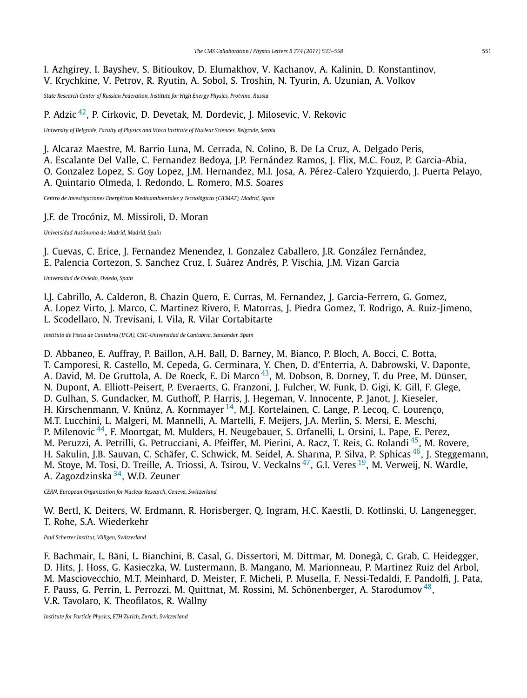I. Azhgirey, I. Bayshev, S. Bitioukov, D. Elumakhov, V. Kachanov, A. Kalinin, D. Konstantinov, V. Krychkine, V. Petrov, R. Ryutin, A. Sobol, S. Troshin, N. Tyurin, A. Uzunian, A. Volkov

*State Research Center of Russian Federation, Institute for High Energy Physics, Protvino, Russia*

P. Adzic [42,](#page-24-0) P. Cirkovic, D. Devetak, M. Dordevic, J. Milosevic, V. Rekovic

*University of Belgrade, Faculty of Physics and Vinca Institute of Nuclear Sciences, Belgrade, Serbia*

J. Alcaraz Maestre, M. Barrio Luna, M. Cerrada, N. Colino, B. De La Cruz, A. Delgado Peris,

A. Escalante Del Valle, C. Fernandez Bedoya, J.P. Fernández Ramos, J. Flix, M.C. Fouz, P. Garcia-Abia, O. Gonzalez Lopez, S. Goy Lopez, J.M. Hernandez, M.I. Josa, A. Pérez-Calero Yzquierdo, J. Puerta Pelayo,

A. Quintario Olmeda, I. Redondo, L. Romero, M.S. Soares

*Centro de Investigaciones Energéticas Medioambientales y Tecnológicas (CIEMAT), Madrid, Spain*

#### J.F. de Trocóniz, M. Missiroli, D. Moran

*Universidad Autónoma de Madrid, Madrid, Spain*

J. Cuevas, C. Erice, J. Fernandez Menendez, I. Gonzalez Caballero, J.R. González Fernández, E. Palencia Cortezon, S. Sanchez Cruz, I. Suárez Andrés, P. Vischia, J.M. Vizan Garcia

*Universidad de Oviedo, Oviedo, Spain*

I.J. Cabrillo, A. Calderon, B. Chazin Quero, E. Curras, M. Fernandez, J. Garcia-Ferrero, G. Gomez, A. Lopez Virto, J. Marco, C. Martinez Rivero, F. Matorras, J. Piedra Gomez, T. Rodrigo, A. Ruiz-Jimeno, L. Scodellaro, N. Trevisani, I. Vila, R. Vilar Cortabitarte

*Instituto de Física de Cantabria (IFCA), CSIC-Universidad de Cantabria, Santander, Spain*

D. Abbaneo, E. Auffray, P. Baillon, A.H. Ball, D. Barney, M. Bianco, P. Bloch, A. Bocci, C. Botta, T. Camporesi, R. Castello, M. Cepeda, G. Cerminara, Y. Chen, D. d'Enterria, A. Dabrowski, V. Daponte, A. David, M. De Gruttola, A. De Roeck, E. Di Marco<sup>43</sup>, M. Dobson, B. Dorney, T. du Pree, M. Dünser, N. Dupont, A. Elliott-Peisert, P. Everaerts, G. Franzoni, J. Fulcher, W. Funk, D. Gigi, K. Gill, F. Glege, D. Gulhan, S. Gundacker, M. Guthoff, P. Harris, J. Hegeman, V. Innocente, P. Janot, J. Kieseler, H. Kirschenmann, V. Knünz, A. Kornmayer<sup>14</sup>, M.J. Kortelainen, C. Lange, P. Lecoq, C. Lourenço, M.T. Lucchini, L. Malgeri, M. Mannelli, A. Martelli, F. Meijers, J.A. Merlin, S. Mersi, E. Meschi, P. Milenovic <sup>44</sup>, F. Moortgat, M. Mulders, H. Neugebauer, S. Orfanelli, L. Orsini, L. Pape, E. Perez, M. Peruzzi, A. Petrilli, G. Petrucciani, A. Pfeiffer, M. Pierini, A. Racz, T. Reis, G. Rolandi [45,](#page-24-0) M. Rovere, H. Sakulin, J.B. Sauvan, C. Schäfer, C. Schwick, M. Seidel, A. Sharma, P. Silva, P. Sphicas [46,](#page-24-0) J. Steggemann, M. Stoye, M. Tosi, D. Treille, A. Triossi, A. Tsirou, V. Veckalns <sup>47</sup>, G.I. Veres <sup>19</sup>, M. Verweij, N. Wardle, A. Zagozdzinska [34,](#page-24-0) W.D. Zeuner

*CERN, European Organization for Nuclear Research, Geneva, Switzerland*

W. Bertl, K. Deiters, W. Erdmann, R. Horisberger, Q. Ingram, H.C. Kaestli, D. Kotlinski, U. Langenegger, T. Rohe, S.A. Wiederkehr

*Paul Scherrer Institut, Villigen, Switzerland*

F. Bachmair, L. Bäni, L. Bianchini, B. Casal, G. Dissertori, M. Dittmar, M. Donegà, C. Grab, C. Heidegger, D. Hits, J. Hoss, G. Kasieczka, W. Lustermann, B. Mangano, M. Marionneau, P. Martinez Ruiz del Arbol, M. Masciovecchio, M.T. Meinhard, D. Meister, F. Micheli, P. Musella, F. Nessi-Tedaldi, F. Pandolfi, J. Pata, F. Pauss, G. Perrin, L. Perrozzi, M. Quittnat, M. Rossini, M. Schönenberger, A. Starodumov [48,](#page-24-0) V.R. Tavolaro, K. Theofilatos, R. Wallny

*Institute for Particle Physics, ETH Zurich, Zurich, Switzerland*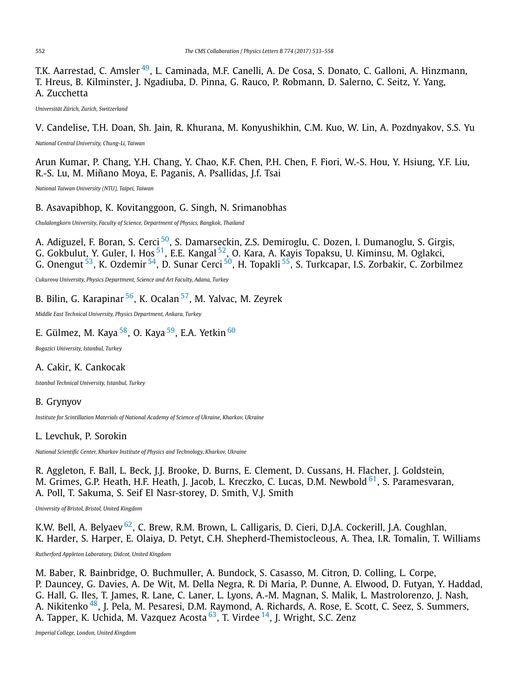T.K. Aarrestad, C. Amsler<sup>49</sup>, L. Caminada, M.F. Canelli, A. De Cosa, S. Donato, C. Galloni, A. Hinzmann, T. Hreus, B. Kilminster, J. Ngadiuba, D. Pinna, G. Rauco, P. Robmann, D. Salerno, C. Seitz, Y. Yang, A. Zucchetta

*Universität Zürich, Zurich, Switzerland*

V. Candelise, T.H. Doan, Sh. Jain, R. Khurana, M. Konyushikhin, C.M. Kuo, W. Lin, A. Pozdnyakov, S.S. Yu

*National Central University, Chung-Li, Taiwan*

Arun Kumar, P. Chang, Y.H. Chang, Y. Chao, K.F. Chen, P.H. Chen, F. Fiori, W.-S. Hou, Y. Hsiung, Y.F. Liu, R.-S. Lu, M. Miñano Moya, E. Paganis, A. Psallidas, J.f. Tsai

*National Taiwan University (NTU), Taipei, Taiwan*

B. Asavapibhop, K. Kovitanggoon, G. Singh, N. Srimanobhas

*Chulalongkorn University, Faculty of Science, Department of Physics, Bangkok, Thailand*

A. Adiguzel, F. Boran, S. Cerci <sup>50</sup>, S. Damarseckin, Z.S. Demiroglu, C. Dozen, I. Dumanoglu, S. Girgis, G. Gokbulut, Y. Guler, I. Hos [51,](#page-24-0) E.E. Kangal [52,](#page-24-0) O. Kara, A. Kayis Topaksu, U. Kiminsu, M. Oglakci, G. Onengut <sup>53</sup>, K. Ozdemir <sup>54</sup>, D. Sunar Cerci <sup>50</sup>, H. Topakli <sup>55</sup>, S. Turkcapar, I.S. Zorbakir, C. Zorbilmez

*Cukurova University, Physics Department, Science and Art Faculty, Adana, Turkey*

B. Bilin, G. Karapinar [56,](#page-24-0) K. Ocalan [57,](#page-24-0) M. Yalvac, M. Zeyrek

*Middle East Technical University, Physics Department, Ankara, Turkey*

## E. Gülmez, M. Kaya<sup>[58](#page-24-0)</sup>, O. Kaya<sup>59</sup>, E.A. Yetkin<sup>[60](#page-24-0)</sup>

*Bogazici University, Istanbul, Turkey*

## A. Cakir, K. Cankocak

*Istanbul Technical University, Istanbul, Turkey*

## B. Grynyov

*Institute for Scintillation Materials of National Academy of Science of Ukraine, Kharkov, Ukraine*

## L. Levchuk, P. Sorokin

*National Scientific Center, Kharkov Institute of Physics and Technology, Kharkov, Ukraine*

R. Aggleton, F. Ball, L. Beck, J.J. Brooke, D. Burns, E. Clement, D. Cussans, H. Flacher, J. Goldstein, M. Grimes, G.P. Heath, H.F. Heath, J. Jacob, L. Kreczko, C. Lucas, D.M. Newbold <sup>61</sup>, S. Paramesvaran, A. Poll, T. Sakuma, S. Seif El Nasr-storey, D. Smith, V.J. Smith

*University of Bristol, Bristol, United Kingdom*

K.W. Bell, A. Belyaev [62,](#page-24-0) C. Brew, R.M. Brown, L. Calligaris, D. Cieri, D.J.A. Cockerill, J.A. Coughlan, K. Harder, S. Harper, E. Olaiya, D. Petyt, C.H. Shepherd-Themistocleous, A. Thea, I.R. Tomalin, T. Williams

*Rutherford Appleton Laboratory, Didcot, United Kingdom*

M. Baber, R. Bainbridge, O. Buchmuller, A. Bundock, S. Casasso, M. Citron, D. Colling, L. Corpe, P. Dauncey, G. Davies, A. De Wit, M. Della Negra, R. Di Maria, P. Dunne, A. Elwood, D. Futyan, Y. Haddad, G. Hall, G. Iles, T. James, R. Lane, C. Laner, L. Lyons, A.-M. Magnan, S. Malik, L. Mastrolorenzo, J. Nash, A. Nikitenko <sup>48</sup>, J. Pela, M. Pesaresi, D.M. Raymond, A. Richards, A. Rose, E. Scott, C. Seez, S. Summers, A. Tapper, K. Uchida, M. Vazquez Acosta  $^{63}$ , T. Virdee  $^{14}$ , J. Wright, S.C. Zenz

*Imperial College, London, United Kingdom*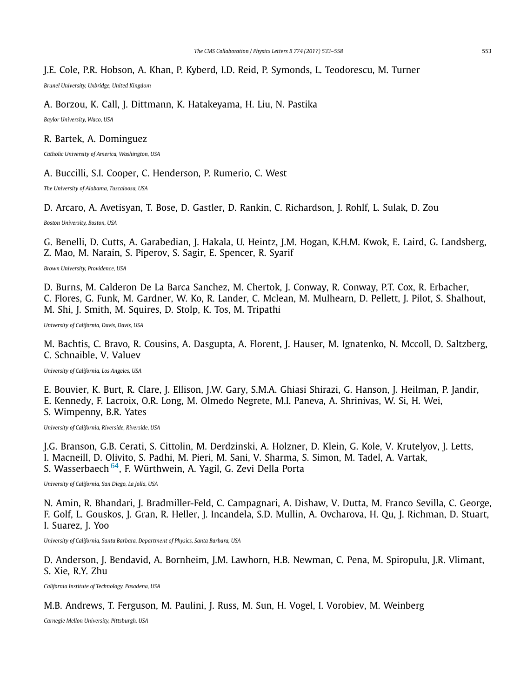## J.E. Cole, P.R. Hobson, A. Khan, P. Kyberd, I.D. Reid, P. Symonds, L. Teodorescu, M. Turner

*Brunel University, Uxbridge, United Kingdom*

### A. Borzou, K. Call, J. Dittmann, K. Hatakeyama, H. Liu, N. Pastika

*Baylor University, Waco, USA*

#### R. Bartek, A. Dominguez

*Catholic University of America, Washington, USA*

### A. Buccilli, S.I. Cooper, C. Henderson, P. Rumerio, C. West

*The University of Alabama, Tuscaloosa, USA*

D. Arcaro, A. Avetisyan, T. Bose, D. Gastler, D. Rankin, C. Richardson, J. Rohlf, L. Sulak, D. Zou

*Boston University, Boston, USA*

G. Benelli, D. Cutts, A. Garabedian, J. Hakala, U. Heintz, J.M. Hogan, K.H.M. Kwok, E. Laird, G. Landsberg, Z. Mao, M. Narain, S. Piperov, S. Sagir, E. Spencer, R. Syarif

*Brown University, Providence, USA*

D. Burns, M. Calderon De La Barca Sanchez, M. Chertok, J. Conway, R. Conway, P.T. Cox, R. Erbacher, C. Flores, G. Funk, M. Gardner, W. Ko, R. Lander, C. Mclean, M. Mulhearn, D. Pellett, J. Pilot, S. Shalhout, M. Shi, J. Smith, M. Squires, D. Stolp, K. Tos, M. Tripathi

*University of California, Davis, Davis, USA*

M. Bachtis, C. Bravo, R. Cousins, A. Dasgupta, A. Florent, J. Hauser, M. Ignatenko, N. Mccoll, D. Saltzberg, C. Schnaible, V. Valuev

*University of California, Los Angeles, USA*

E. Bouvier, K. Burt, R. Clare, J. Ellison, J.W. Gary, S.M.A. Ghiasi Shirazi, G. Hanson, J. Heilman, P. Jandir, E. Kennedy, F. Lacroix, O.R. Long, M. Olmedo Negrete, M.I. Paneva, A. Shrinivas, W. Si, H. Wei, S. Wimpenny, B.R. Yates

*University of California, Riverside, Riverside, USA*

J.G. Branson, G.B. Cerati, S. Cittolin, M. Derdzinski, A. Holzner, D. Klein, G. Kole, V. Krutelyov, J. Letts, I. Macneill, D. Olivito, S. Padhi, M. Pieri, M. Sani, V. Sharma, S. Simon, M. Tadel, A. Vartak, S. Wasserbaech [64,](#page-25-0) F. Würthwein, A. Yagil, G. Zevi Della Porta

*University of California, San Diego, La Jolla, USA*

N. Amin, R. Bhandari, J. Bradmiller-Feld, C. Campagnari, A. Dishaw, V. Dutta, M. Franco Sevilla, C. George, F. Golf, L. Gouskos, J. Gran, R. Heller, J. Incandela, S.D. Mullin, A. Ovcharova, H. Qu, J. Richman, D. Stuart, I. Suarez, J. Yoo

*University of California, Santa Barbara, Department of Physics, Santa Barbara, USA*

D. Anderson, J. Bendavid, A. Bornheim, J.M. Lawhorn, H.B. Newman, C. Pena, M. Spiropulu, J.R. Vlimant, S. Xie, R.Y. Zhu

*California Institute of Technology, Pasadena, USA*

M.B. Andrews, T. Ferguson, M. Paulini, J. Russ, M. Sun, H. Vogel, I. Vorobiev, M. Weinberg

*Carnegie Mellon University, Pittsburgh, USA*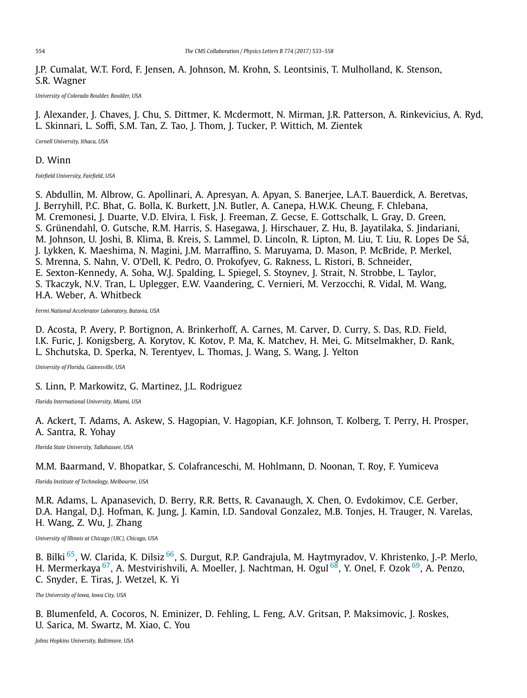J.P. Cumalat, W.T. Ford, F. Jensen, A. Johnson, M. Krohn, S. Leontsinis, T. Mulholland, K. Stenson, S.R. Wagner

*University of Colorado Boulder, Boulder, USA*

J. Alexander, J. Chaves, J. Chu, S. Dittmer, K. Mcdermott, N. Mirman, J.R. Patterson, A. Rinkevicius, A. Ryd, L. Skinnari, L. Soffi, S.M. Tan, Z. Tao, J. Thom, J. Tucker, P. Wittich, M. Zientek

*Cornell University, Ithaca, USA*

#### D. Winn

*Fairfield University, Fairfield, USA*

S. Abdullin, M. Albrow, G. Apollinari, A. Apresyan, A. Apyan, S. Banerjee, L.A.T. Bauerdick, A. Beretvas, J. Berryhill, P.C. Bhat, G. Bolla, K. Burkett, J.N. Butler, A. Canepa, H.W.K. Cheung, F. Chlebana, M. Cremonesi, J. Duarte, V.D. Elvira, I. Fisk, J. Freeman, Z. Gecse, E. Gottschalk, L. Gray, D. Green, S. Grünendahl, O. Gutsche, R.M. Harris, S. Hasegawa, J. Hirschauer, Z. Hu, B. Jayatilaka, S. Jindariani, M. Johnson, U. Joshi, B. Klima, B. Kreis, S. Lammel, D. Lincoln, R. Lipton, M. Liu, T. Liu, R. Lopes De Sá, J. Lykken, K. Maeshima, N. Magini, J.M. Marraffino, S. Maruyama, D. Mason, P. McBride, P. Merkel, S. Mrenna, S. Nahn, V. O'Dell, K. Pedro, O. Prokofyev, G. Rakness, L. Ristori, B. Schneider, E. Sexton-Kennedy, A. Soha, W.J. Spalding, L. Spiegel, S. Stoynev, J. Strait, N. Strobbe, L. Taylor, S. Tkaczyk, N.V. Tran, L. Uplegger, E.W. Vaandering, C. Vernieri, M. Verzocchi, R. Vidal, M. Wang, H.A. Weber, A. Whitbeck

*Fermi National Accelerator Laboratory, Batavia, USA*

D. Acosta, P. Avery, P. Bortignon, A. Brinkerhoff, A. Carnes, M. Carver, D. Curry, S. Das, R.D. Field, I.K. Furic, J. Konigsberg, A. Korytov, K. Kotov, P. Ma, K. Matchev, H. Mei, G. Mitselmakher, D. Rank, L. Shchutska, D. Sperka, N. Terentyev, L. Thomas, J. Wang, S. Wang, J. Yelton

*University of Florida, Gainesville, USA*

S. Linn, P. Markowitz, G. Martinez, J.L. Rodriguez

*Florida International University, Miami, USA*

A. Ackert, T. Adams, A. Askew, S. Hagopian, V. Hagopian, K.F. Johnson, T. Kolberg, T. Perry, H. Prosper, A. Santra, R. Yohay

*Florida State University, Tallahassee, USA*

M.M. Baarmand, V. Bhopatkar, S. Colafranceschi, M. Hohlmann, D. Noonan, T. Roy, F. Yumiceva

*Florida Institute of Technology, Melbourne, USA*

M.R. Adams, L. Apanasevich, D. Berry, R.R. Betts, R. Cavanaugh, X. Chen, O. Evdokimov, C.E. Gerber, D.A. Hangal, D.J. Hofman, K. Jung, J. Kamin, I.D. Sandoval Gonzalez, M.B. Tonjes, H. Trauger, N. Varelas, H. Wang, Z. Wu, J. Zhang

*University of Illinois at Chicago (UIC), Chicago, USA*

B. Bilki [65,](#page-25-0) W. Clarida, K. Dilsiz [66,](#page-25-0) S. Durgut, R.P. Gandrajula, M. Haytmyradov, V. Khristenko, J.-P. Merlo, H. Mermerkaya [67,](#page-25-0) A. Mestvirishvili, A. Moeller, J. Nachtman, H. Ogul [68](#page-25-0), Y. Onel, F. Ozok [69,](#page-25-0) A. Penzo, C. Snyder, E. Tiras, J. Wetzel, K. Yi

*The University of Iowa, Iowa City, USA*

B. Blumenfeld, A. Cocoros, N. Eminizer, D. Fehling, L. Feng, A.V. Gritsan, P. Maksimovic, J. Roskes, U. Sarica, M. Swartz, M. Xiao, C. You

*Johns Hopkins University, Baltimore, USA*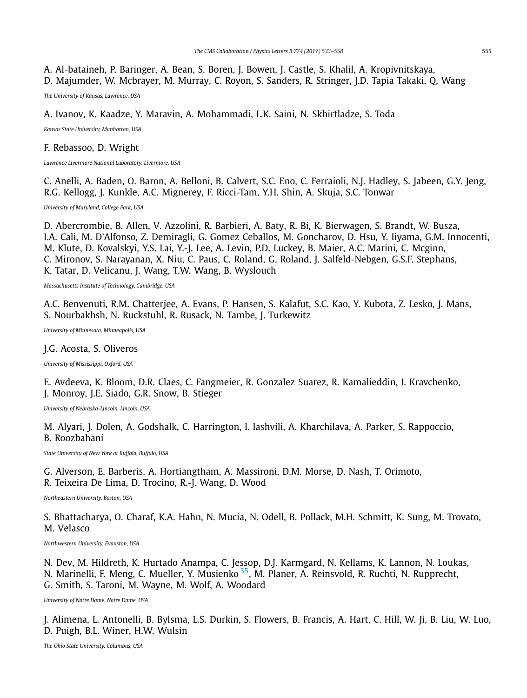A. Al-bataineh, P. Baringer, A. Bean, S. Boren, J. Bowen, J. Castle, S. Khalil, A. Kropivnitskaya, D. Majumder, W. Mcbrayer, M. Murray, C. Royon, S. Sanders, R. Stringer, J.D. Tapia Takaki, Q. Wang

*The University of Kansas, Lawrence, USA*

A. Ivanov, K. Kaadze, Y. Maravin, A. Mohammadi, L.K. Saini, N. Skhirtladze, S. Toda

*Kansas State University, Manhattan, USA*

#### F. Rebassoo, D. Wright

*Lawrence Livermore National Laboratory, Livermore, USA*

C. Anelli, A. Baden, O. Baron, A. Belloni, B. Calvert, S.C. Eno, C. Ferraioli, N.J. Hadley, S. Jabeen, G.Y. Jeng, R.G. Kellogg, J. Kunkle, A.C. Mignerey, F. Ricci-Tam, Y.H. Shin, A. Skuja, S.C. Tonwar

*University of Maryland, College Park, USA*

D. Abercrombie, B. Allen, V. Azzolini, R. Barbieri, A. Baty, R. Bi, K. Bierwagen, S. Brandt, W. Busza, I.A. Cali, M. D'Alfonso, Z. Demiragli, G. Gomez Ceballos, M. Goncharov, D. Hsu, Y. Iiyama, G.M. Innocenti, M. Klute, D. Kovalskyi, Y.S. Lai, Y.-J. Lee, A. Levin, P.D. Luckey, B. Maier, A.C. Marini, C. Mcginn, C. Mironov, S. Narayanan, X. Niu, C. Paus, C. Roland, G. Roland, J. Salfeld-Nebgen, G.S.F. Stephans, K. Tatar, D. Velicanu, J. Wang, T.W. Wang, B. Wyslouch

*Massachusetts Institute of Technology, Cambridge, USA*

A.C. Benvenuti, R.M. Chatterjee, A. Evans, P. Hansen, S. Kalafut, S.C. Kao, Y. Kubota, Z. Lesko, J. Mans, S. Nourbakhsh, N. Ruckstuhl, R. Rusack, N. Tambe, J. Turkewitz

*University of Minnesota, Minneapolis, USA*

### J.G. Acosta, S. Oliveros

*University of Mississippi, Oxford, USA*

E. Avdeeva, K. Bloom, D.R. Claes, C. Fangmeier, R. Gonzalez Suarez, R. Kamalieddin, I. Kravchenko, J. Monroy, J.E. Siado, G.R. Snow, B. Stieger

*University of Nebraska-Lincoln, Lincoln, USA*

M. Alyari, J. Dolen, A. Godshalk, C. Harrington, I. Iashvili, A. Kharchilava, A. Parker, S. Rappoccio, B. Roozbahani

*State University of New York at Buffalo, Buffalo, USA*

G. Alverson, E. Barberis, A. Hortiangtham, A. Massironi, D.M. Morse, D. Nash, T. Orimoto, R. Teixeira De Lima, D. Trocino, R.-J. Wang, D. Wood

*Northeastern University, Boston, USA*

S. Bhattacharya, O. Charaf, K.A. Hahn, N. Mucia, N. Odell, B. Pollack, M.H. Schmitt, K. Sung, M. Trovato, M. Velasco

*Northwestern University, Evanston, USA*

N. Dev, M. Hildreth, K. Hurtado Anampa, C. Jessop, D.J. Karmgard, N. Kellams, K. Lannon, N. Loukas, N. Marinelli, F. Meng, C. Mueller, Y. Musienko [35,](#page-24-0) M. Planer, A. Reinsvold, R. Ruchti, N. Rupprecht, G. Smith, S. Taroni, M. Wayne, M. Wolf, A. Woodard

*University of Notre Dame, Notre Dame, USA*

J. Alimena, L. Antonelli, B. Bylsma, L.S. Durkin, S. Flowers, B. Francis, A. Hart, C. Hill, W. Ji, B. Liu, W. Luo, D. Puigh, B.L. Winer, H.W. Wulsin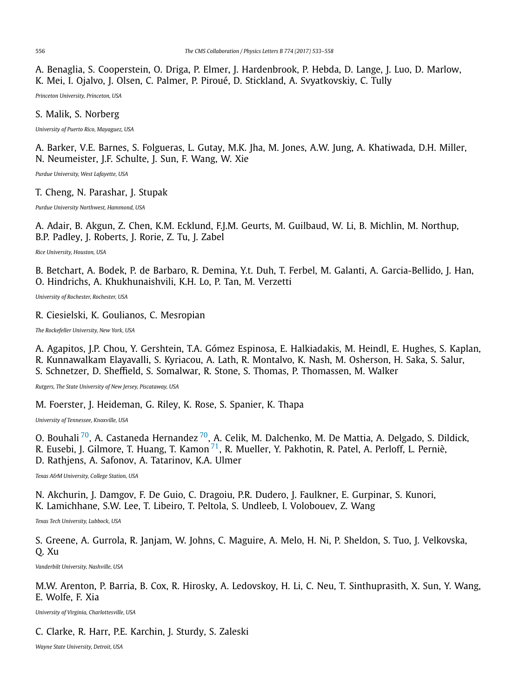A. Benaglia, S. Cooperstein, O. Driga, P. Elmer, J. Hardenbrook, P. Hebda, D. Lange, J. Luo, D. Marlow, K. Mei, I. Ojalvo, J. Olsen, C. Palmer, P. Piroué, D. Stickland, A. Svyatkovskiy, C. Tully

*Princeton University, Princeton, USA*

#### S. Malik, S. Norberg

*University of Puerto Rico, Mayaguez, USA*

A. Barker, V.E. Barnes, S. Folgueras, L. Gutay, M.K. Jha, M. Jones, A.W. Jung, A. Khatiwada, D.H. Miller, N. Neumeister, J.F. Schulte, J. Sun, F. Wang, W. Xie

*Purdue University, West Lafayette, USA*

T. Cheng, N. Parashar, J. Stupak

*Purdue University Northwest, Hammond, USA*

A. Adair, B. Akgun, Z. Chen, K.M. Ecklund, F.J.M. Geurts, M. Guilbaud, W. Li, B. Michlin, M. Northup, B.P. Padley, J. Roberts, J. Rorie, Z. Tu, J. Zabel

*Rice University, Houston, USA*

B. Betchart, A. Bodek, P. de Barbaro, R. Demina, Y.t. Duh, T. Ferbel, M. Galanti, A. Garcia-Bellido, J. Han, O. Hindrichs, A. Khukhunaishvili, K.H. Lo, P. Tan, M. Verzetti

*University of Rochester, Rochester, USA*

R. Ciesielski, K. Goulianos, C. Mesropian

*The Rockefeller University, New York, USA*

A. Agapitos, J.P. Chou, Y. Gershtein, T.A. Gómez Espinosa, E. Halkiadakis, M. Heindl, E. Hughes, S. Kaplan, R. Kunnawalkam Elayavalli, S. Kyriacou, A. Lath, R. Montalvo, K. Nash, M. Osherson, H. Saka, S. Salur, S. Schnetzer, D. Sheffield, S. Somalwar, R. Stone, S. Thomas, P. Thomassen, M. Walker

*Rutgers, The State University of New Jersey, Piscataway, USA*

M. Foerster, J. Heideman, G. Riley, K. Rose, S. Spanier, K. Thapa

*University of Tennessee, Knoxville, USA*

O. Bouhali<sup>70</sup>, A. Castaneda Hernandez<sup>70</sup>, A. Celik, M. Dalchenko, M. De Mattia, A. Delgado, S. Dildick, R. Eusebi, J. Gilmore, T. Huang, T. Kamon <sup>71</sup>, R. Mueller, Y. Pakhotin, R. Patel, A. Perloff, L. Perniè, D. Rathjens, A. Safonov, A. Tatarinov, K.A. Ulmer

*Texas A&M University, College Station, USA*

N. Akchurin, J. Damgov, F. De Guio, C. Dragoiu, P.R. Dudero, J. Faulkner, E. Gurpinar, S. Kunori, K. Lamichhane, S.W. Lee, T. Libeiro, T. Peltola, S. Undleeb, I. Volobouev, Z. Wang

*Texas Tech University, Lubbock, USA*

S. Greene, A. Gurrola, R. Janjam, W. Johns, C. Maguire, A. Melo, H. Ni, P. Sheldon, S. Tuo, J. Velkovska, Q. Xu

*Vanderbilt University, Nashville, USA*

M.W. Arenton, P. Barria, B. Cox, R. Hirosky, A. Ledovskoy, H. Li, C. Neu, T. Sinthuprasith, X. Sun, Y. Wang, E. Wolfe, F. Xia

*University of Virginia, Charlottesville, USA*

C. Clarke, R. Harr, P.E. Karchin, J. Sturdy, S. Zaleski

*Wayne State University, Detroit, USA*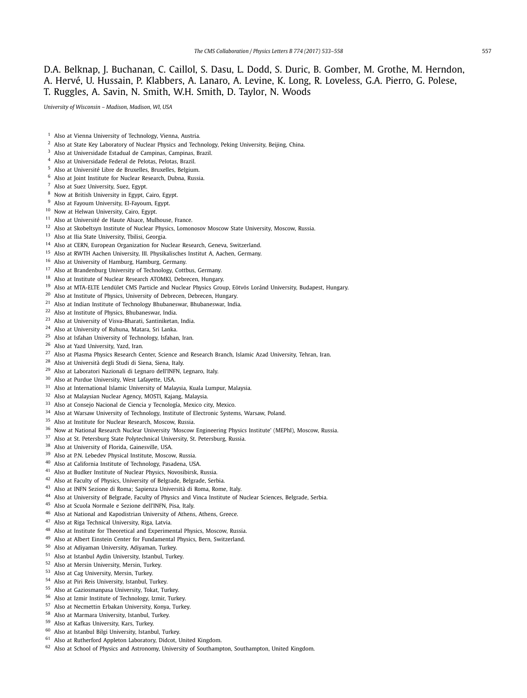## <span id="page-24-0"></span>D.A. Belknap, J. Buchanan, C. Caillol, S. Dasu, L. Dodd, S. Duric, B. Gomber, M. Grothe, M. Herndon, A. Hervé, U. Hussain, P. Klabbers, A. Lanaro, A. Levine, K. Long, R. Loveless, G.A. Pierro, G. Polese, T. Ruggles, A. Savin, N. Smith, W.H. Smith, D. Taylor, N. Woods

*University of Wisconsin – Madison, Madison, WI, USA*

- Also at Vienna University of Technology, Vienna, Austria.
- Also at State Key Laboratory of Nuclear Physics and Technology, Peking University, Beijing, China.
- Also at Universidade Estadual de Campinas, Campinas, Brazil.
- Also at Universidade Federal de Pelotas, Pelotas, Brazil.
- Also at Université Libre de Bruxelles, Bruxelles, Belgium.
- Also at Joint Institute for Nuclear Research, Dubna, Russia.
- Also at Suez University, Suez, Egypt.
- Now at British University in Egypt, Cairo, Egypt.
- Also at Fayoum University, El-Fayoum, Egypt.
- 10 Now at Helwan University, Cairo, Egypt.
- <sup>11</sup> Also at Université de Haute Alsace, Mulhouse, France.
- <sup>12</sup> Also at Skobeltsyn Institute of Nuclear Physics, Lomonosov Moscow State University, Moscow, Russia.
- Also at Ilia State University, Tbilisi, Georgia.
- Also at CERN, European Organization for Nuclear Research, Geneva, Switzerland.
- Also at RWTH Aachen University, III. Physikalisches Institut A, Aachen, Germany.
- Also at University of Hamburg, Hamburg, Germany.
- Also at Brandenburg University of Technology, Cottbus, Germany.
- <sup>18</sup> Also at Institute of Nuclear Research ATOMKI, Debrecen, Hungary.
- <sup>19</sup> Also at MTA-ELTE Lendület CMS Particle and Nuclear Physics Group, Eötvös Loránd University, Budapest, Hungary.
- Also at Institute of Physics, University of Debrecen, Debrecen, Hungary.
- Also at Indian Institute of Technology Bhubaneswar, Bhubaneswar, India.
- Also at Institute of Physics, Bhubaneswar, India.
- Also at University of Visva-Bharati, Santiniketan, India.
- Also at University of Ruhuna, Matara, Sri Lanka.
- Also at Isfahan University of Technology, Isfahan, Iran.
- Also at Yazd University, Yazd, Iran.
- Also at Plasma Physics Research Center, Science and Research Branch, Islamic Azad University, Tehran, Iran.
- Also at Università degli Studi di Siena, Siena, Italy.
- Also at Laboratori Nazionali di Legnaro dell'INFN, Legnaro, Italy.
- Also at Purdue University, West Lafayette, USA.
- <sup>31</sup> Also at International Islamic University of Malaysia, Kuala Lumpur, Malaysia.
- Also at Malaysian Nuclear Agency, MOSTI, Kajang, Malaysia.
- Also at Consejo Nacional de Ciencia y Tecnología, Mexico city, Mexico.
- <sup>34</sup> Also at Warsaw University of Technology, Institute of Electronic Systems, Warsaw, Poland.
- Also at Institute for Nuclear Research, Moscow, Russia.
- Now at National Research Nuclear University 'Moscow Engineering Physics Institute' (MEPhI), Moscow, Russia.
- <sup>37</sup> Also at St. Petersburg State Polytechnical University, St. Petersburg, Russia.
- <sup>38</sup> Also at University of Florida, Gainesville, USA.<br> $\frac{39}{2}$  Also at PN. Johodov Physical Institute, Moscov
- Also at P.N. Lebedev Physical Institute, Moscow, Russia.
- Also at California Institute of Technology, Pasadena, USA.
- Also at Budker Institute of Nuclear Physics, Novosibirsk, Russia.
- Also at Faculty of Physics, University of Belgrade, Belgrade, Serbia.
- Also at INFN Sezione di Roma; Sapienza Università di Roma, Rome, Italy.
- 44 Also at University of Belgrade, Faculty of Physics and Vinca Institute of Nuclear Sciences, Belgrade, Serbia.
- Also at Scuola Normale e Sezione dell'INFN, Pisa, Italy.
- Also at National and Kapodistrian University of Athens, Athens, Greece.
- Also at Riga Technical University, Riga, Latvia.
- Also at Institute for Theoretical and Experimental Physics, Moscow, Russia.
- 49 Also at Albert Einstein Center for Fundamental Physics, Bern, Switzerland.
- Also at Adiyaman University, Adiyaman, Turkey.
- Also at Istanbul Aydin University, Istanbul, Turkey.
- Also at Mersin University, Mersin, Turkey.
- Also at Cag University, Mersin, Turkey.
- Also at Piri Reis University, Istanbul, Turkey.
- Also at Gaziosmanpasa University, Tokat, Turkey.
- Also at Izmir Institute of Technology, Izmir, Turkey.
- Also at Necmettin Erbakan University, Konya, Turkey.
- Also at Marmara University, Istanbul, Turkey.
- Also at Kafkas University, Kars, Turkey.
- Also at Istanbul Bilgi University, Istanbul, Turkey.
- Also at Rutherford Appleton Laboratory, Didcot, United Kingdom.
- Also at School of Physics and Astronomy, University of Southampton, Southampton, United Kingdom.